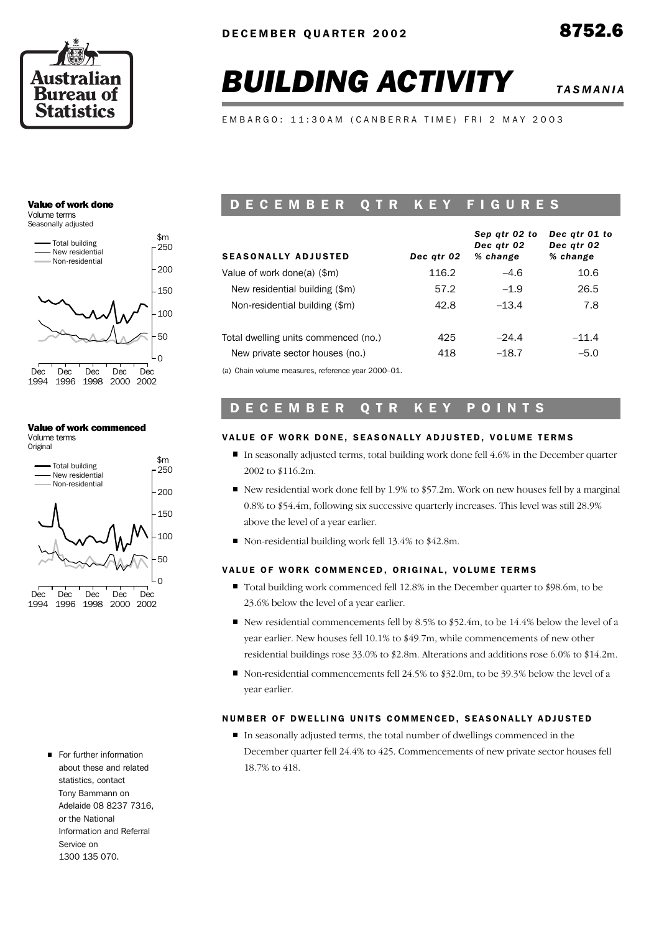

# **BUILDING ACTIVITY** *TASMANIA*

*Dec qtr 01 to*

*Sep qtr 02 to*

EMBARGO: 11:30AM (CANBERRA TIME) FRI 2 MAY 2003

#### Value of work done Volume terms

Seasonally adjusted



#### Value of work commenced

Volume terms Original



For further information about these and related statistics, contact Tony Bammann on Adelaide 08 8237 7316, or the National Information and Referral Service on 1300 135 070.

## D E C E M B E R Q T R K E Y F <u>I G U R E S</u>

| <b>SEASONALLY ADJUSTED</b>                         | Dec gtr 02 | sep atr 02 to<br>Dec atr 02<br>% change | Dec atr ul to<br>Dec atr 02<br>% change |
|----------------------------------------------------|------------|-----------------------------------------|-----------------------------------------|
| Value of work done(a) (\$m)                        | 116.2      | $-4.6$                                  | 10.6                                    |
| New residential building (\$m)                     | 57.2       | $-1.9$                                  | 26.5                                    |
| Non-residential building (\$m)                     | 42.8       | $-13.4$                                 | 7.8                                     |
| Total dwelling units commenced (no.)               | 425        | $-24.4$                                 | $-11.4$                                 |
| New private sector houses (no.)                    | 418        | $-18.7$                                 | $-5.0$                                  |
| (a) Chain volume measures, reference year 2000–01. |            |                                         |                                         |

## D E C E M B E R Q T R K E Y P O I N T S

#### VALUE OF WORK DONE, SEASONALLY ADJUSTED, VOLUME TERMS

- In seasonally adjusted terms, total building work done fell 4.6% in the December quarter 2002 to \$116.2m.
- New residential work done fell by 1.9% to \$57.2m. Work on new houses fell by a marginal 0.8% to \$54.4m, following six successive quarterly increases. This level was still 28.9% above the level of a year earlier.
- Non-residential building work fell 13.4% to \$42.8m.

#### VALUE OF WORK COMMENCED, ORIGINAL, VOLUME TERMS

- Total building work commenced fell 12.8% in the December quarter to \$98.6m, to be 23.6% below the level of a year earlier.
- New residential commencements fell by 8.5% to \$52.4m, to be 14.4% below the level of a year earlier. New houses fell 10.1% to \$49.7m, while commencements of new other residential buildings rose 33.0% to \$2.8m. Alterations and additions rose 6.0% to \$14.2m.
- Non-residential commencements fell  $24.5\%$  to \$32.0m, to be 39.3% below the level of a year earlier.

#### NUMBER OF DWELLING UNITS COMMENCED, SEASONALLY ADJUSTED

In seasonally adjusted terms, the total number of dwellings commenced in the December quarter fell 24.4% to 425. Commencements of new private sector houses fell 18.7% to 418.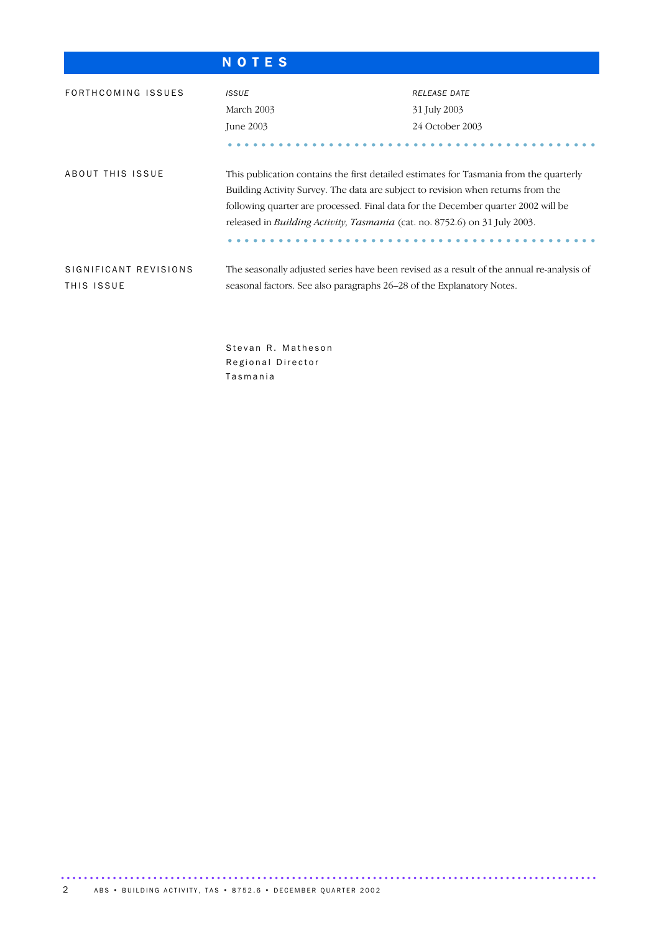| r. |  |  |
|----|--|--|
|    |  |  |

Regional Director

T a s m a n i a

| FORTHCOMING ISSUES                  | <b>ISSUE</b><br>March 2003<br>June 2003                                                                                                                                                                                                                                                                                                                      | <b>RELEASE DATE</b><br>31 July 2003<br>24 October 2003 |  |  |  |  |
|-------------------------------------|--------------------------------------------------------------------------------------------------------------------------------------------------------------------------------------------------------------------------------------------------------------------------------------------------------------------------------------------------------------|--------------------------------------------------------|--|--|--|--|
| ABOUT THIS ISSUE                    | This publication contains the first detailed estimates for Tasmania from the quarterly<br>Building Activity Survey. The data are subject to revision when returns from the<br>following quarter are processed. Final data for the December quarter 2002 will be<br>released in <i>Building Activity</i> , <i>Tasmania</i> (cat. no. 8752.6) on 31 July 2003. |                                                        |  |  |  |  |
| SIGNIFICANT REVISIONS<br>THIS ISSUE | The seasonally adjusted series have been revised as a result of the annual re-analysis of<br>seasonal factors. See also paragraphs 26–28 of the Explanatory Notes.                                                                                                                                                                                           |                                                        |  |  |  |  |
|                                     | Stevan R. Matheson                                                                                                                                                                                                                                                                                                                                           |                                                        |  |  |  |  |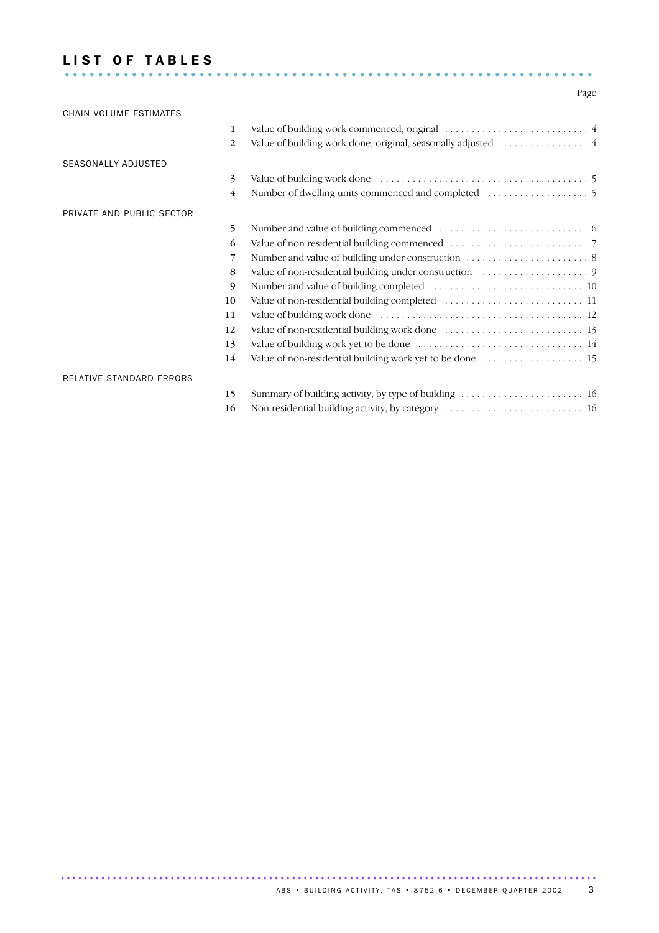#### LIST OF TABLES ...............................................................

#### Page

| CHAIN VOLUME ESTIMATES     |    |                                                               |
|----------------------------|----|---------------------------------------------------------------|
|                            | 1  |                                                               |
|                            | 2  | Value of building work done, original, seasonally adjusted  4 |
| <b>SEASONALLY ADJUSTED</b> |    |                                                               |
|                            | 3  |                                                               |
|                            | 4  |                                                               |
| PRIVATE AND PUBLIC SECTOR  |    |                                                               |
|                            | 5  |                                                               |
|                            | 6  |                                                               |
|                            | 7  |                                                               |
|                            | 8  |                                                               |
|                            | 9  |                                                               |
|                            | 10 |                                                               |
|                            | 11 |                                                               |
|                            | 12 |                                                               |
|                            | 13 |                                                               |
|                            | 14 |                                                               |
| RELATIVE STANDARD ERRORS   |    |                                                               |
|                            | 15 |                                                               |
|                            | 16 | Non-residential building activity, by category  16            |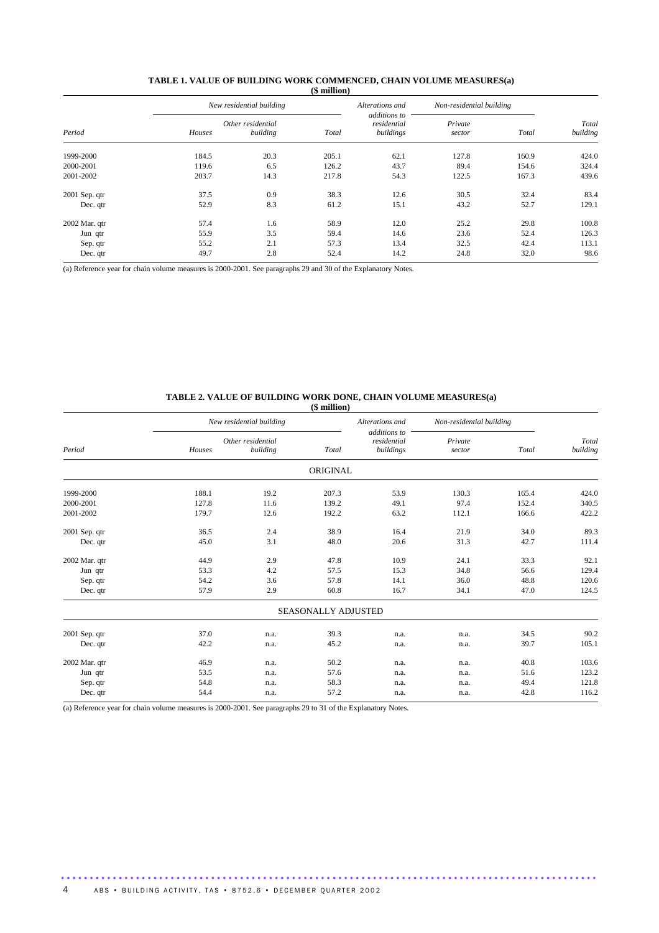| Period          |        | New residential building      |       | Alterations and                          | Non-residential building |       |                   |
|-----------------|--------|-------------------------------|-------|------------------------------------------|--------------------------|-------|-------------------|
|                 | Houses | Other residential<br>building | Total | additions to<br>residential<br>buildings | Private<br>sector        | Total | Total<br>building |
| 1999-2000       | 184.5  | 20.3                          | 205.1 | 62.1                                     | 127.8                    | 160.9 | 424.0             |
| 2000-2001       | 119.6  | 6.5                           | 126.2 | 43.7                                     | 89.4                     | 154.6 | 324.4             |
| 2001-2002       | 203.7  | 14.3                          | 217.8 | 54.3                                     | 122.5                    | 167.3 | 439.6             |
| $2001$ Sep. qtr | 37.5   | 0.9                           | 38.3  | 12.6                                     | 30.5                     | 32.4  | 83.4              |
| Dec. qtr        | 52.9   | 8.3                           | 61.2  | 15.1                                     | 43.2                     | 52.7  | 129.1             |
| 2002 Mar. qtr   | 57.4   | 1.6                           | 58.9  | 12.0                                     | 25.2                     | 29.8  | 100.8             |
| Jun qtr         | 55.9   | 3.5                           | 59.4  | 14.6                                     | 23.6                     | 52.4  | 126.3             |
| Sep. qtr        | 55.2   | 2.1                           | 57.3  | 13.4                                     | 32.5                     | 42.4  | 113.1             |
| Dec. qtr        | 49.7   | 2.8                           | 52.4  | 14.2                                     | 24.8                     | 32.0  | 98.6              |

#### **TABLE 1. VALUE OF BUILDING WORK COMMENCED, CHAIN VOLUME MEASURES(a) (\$ million)**

(a) Reference year for chain volume measures is 2000-2001. See paragraphs 29 and 30 of the Explanatory Notes.

#### **TABLE 2. VALUE OF BUILDING WORK DONE, CHAIN VOLUME MEASURES(a) (\$ million)**

|               |             |                               | $(\varphi$ municipal |                                          |                            |       |                   |
|---------------|-------------|-------------------------------|----------------------|------------------------------------------|----------------------------|-------|-------------------|
|               |             | New residential building      |                      | Alterations and                          | Non-residential building   |       |                   |
| Period        | Houses      | Other residential<br>building | Total                | additions to<br>residential<br>buildings | Private<br>Total<br>sector |       | Total<br>building |
|               |             |                               | ORIGINAL             |                                          |                            |       |                   |
| 1999-2000     | 188.1       | 19.2                          | 207.3                | 53.9                                     | 130.3                      | 165.4 | 424.0             |
| 2000-2001     | 127.8       | 11.6                          | 139.2                | 49.1                                     | 97.4                       | 152.4 | 340.5             |
| 2001-2002     | 179.7       | 12.6                          | 192.2                | 63.2                                     | 112.1                      | 166.6 | 422.2             |
| 2001 Sep. qtr | 36.5        | 2.4                           | 38.9                 | 16.4                                     | 21.9                       | 34.0  | 89.3              |
| Dec. qtr      | 45.0<br>3.1 |                               | 48.0<br>20.6         |                                          | 31.3                       | 42.7  | 111.4             |
| 2002 Mar. qtr | 44.9        | 2.9                           | 47.8                 | 10.9                                     | 24.1                       | 33.3  | 92.1              |
| Jun qtr       | 53.3        | 4.2                           | 57.5                 | 15.3                                     | 34.8                       | 56.6  | 129.4             |
| Sep. qtr      | 54.2        | 3.6                           | 57.8                 | 14.1                                     | 36.0                       | 48.8  | 120.6             |
| Dec. qtr      | 57.9        | 2.9                           | 60.8                 | 16.7                                     | 34.1                       | 47.0  | 124.5             |
|               |             |                               | SEASONALLY ADJUSTED  |                                          |                            |       |                   |
| 2001 Sep. qtr | 37.0        | n.a.                          | 39.3                 | n.a.                                     | n.a.                       | 34.5  | 90.2              |
| Dec. qtr      | 42.2        | n.a.                          | 45.2                 | n.a.                                     | n.a.                       | 39.7  | 105.1             |
| 2002 Mar. qtr | 46.9        | n.a.                          | 50.2                 | n.a.                                     | n.a.                       | 40.8  | 103.6             |
| Jun qtr       | 53.5        | n.a.                          | 57.6                 | n.a.                                     | n.a.                       | 51.6  | 123.2             |
| Sep. qtr      | 54.8        | n.a.                          | 58.3                 | n.a.                                     | n.a.                       | 49.4  | 121.8             |
| Dec. qtr      | 54.4        | n.a.                          | 57.2                 | n.a.                                     | n.a.                       | 42.8  | 116.2             |
|               |             |                               |                      |                                          |                            |       |                   |

.............................................................................................

(a) Reference year for chain volume measures is 2000-2001. See paragraphs 29 to 31 of the Explanatory Notes.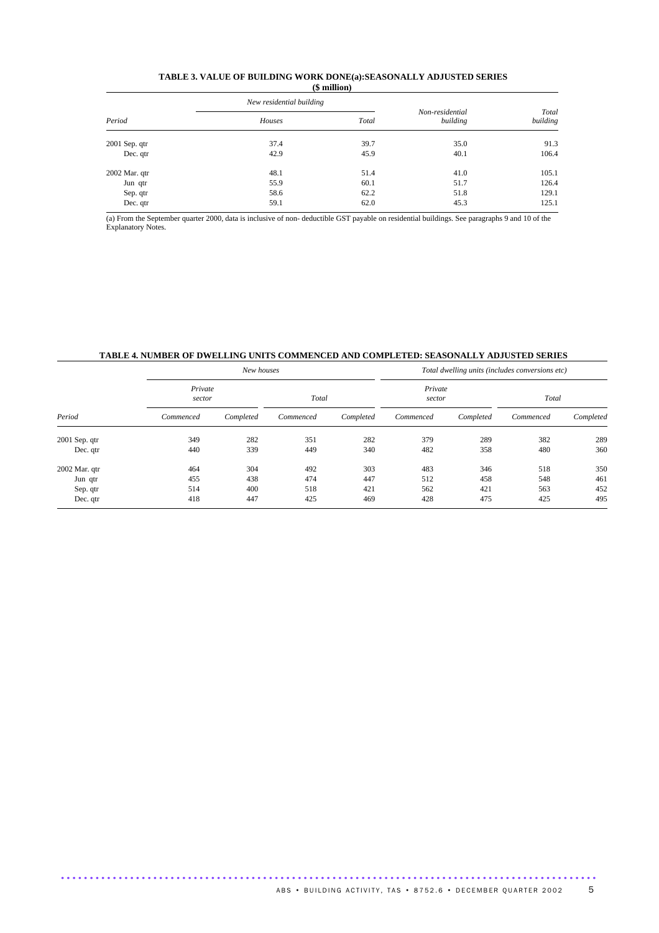| TABLE 3. VALUE OF BUILDING WORK DONE(a):SEASONALLY ADJUSTED SERIES |
|--------------------------------------------------------------------|
| $$$ million $)$                                                    |

|                 | New residential building |       |                             |                   |  |
|-----------------|--------------------------|-------|-----------------------------|-------------------|--|
| Period          | Houses                   | Total | Non-residential<br>building | Total<br>building |  |
| $2001$ Sep. qtr | 37.4                     | 39.7  | 35.0                        | 91.3              |  |
| Dec. qtr        | 42.9                     | 45.9  | 40.1                        | 106.4             |  |
| 2002 Mar. qtr   | 48.1                     | 51.4  | 41.0                        | 105.1             |  |
| Jun qtr         | 55.9                     | 60.1  | 51.7                        | 126.4             |  |
| Sep. qtr        | 58.6                     | 62.2  | 51.8                        | 129.1             |  |
| Dec. qtr        | 59.1                     | 62.0  | 45.3                        | 125.1             |  |

(a) From the September quarter 2000, data is inclusive of non- deductible GST payable on residential buildings. See paragraphs 9 and 10 of the Explanatory Notes.

### **TABLE 4. NUMBER OF DWELLING UNITS COMMENCED AND COMPLETED: SEASONALLY ADJUSTED SERIES**

|               |                   | New houses |           |           | Total dwelling units (includes conversions etc) |           |           |           |  |
|---------------|-------------------|------------|-----------|-----------|-------------------------------------------------|-----------|-----------|-----------|--|
| Period        | Private<br>sector |            | Total     |           | Private<br>sector                               |           | Total     |           |  |
|               | Commenced         | Completed  | Commenced | Completed | Commenced                                       | Completed | Commenced | Completed |  |
| 2001 Sep. qtr | 349               | 282        | 351       | 282       | 379                                             | 289       | 382       | 289       |  |
| Dec. qtr      | 440               | 339        | 449       | 340       | 482                                             | 358       | 480       | 360       |  |
| 2002 Mar. qtr | 464               | 304        | 492       | 303       | 483                                             | 346       | 518       | 350       |  |
| Jun qtr       | 455               | 438        | 474       | 447       | 512                                             | 458       | 548       | 461       |  |
| Sep. qtr      | 514               | 400        | 518       | 421       | 562                                             | 421       | 563       | 452       |  |
| Dec. qtr      | 418               | 447        | 425       | 469       | 428                                             | 475       | 425       | 495       |  |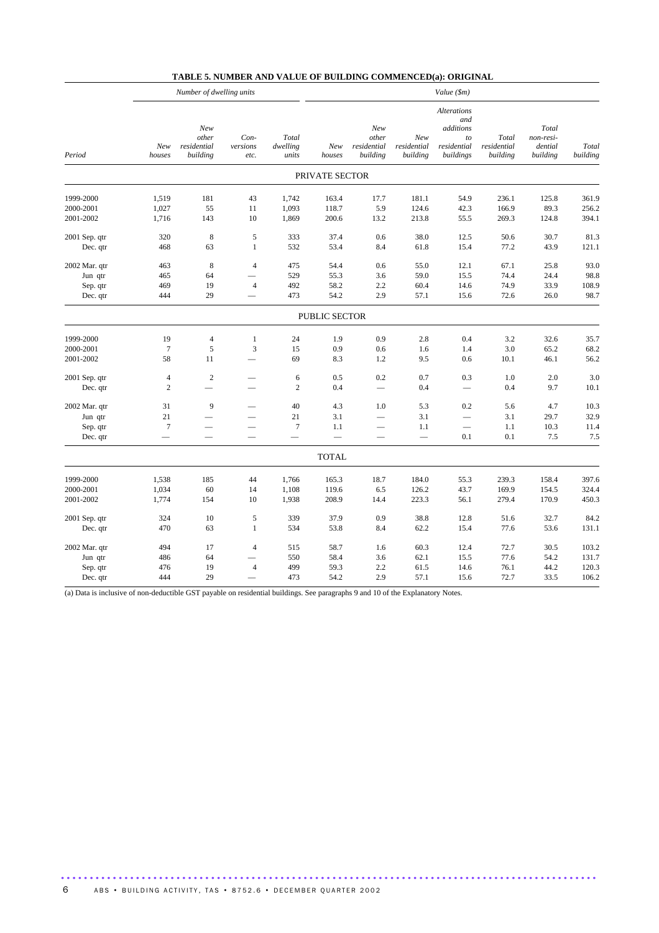|  |  | TABLE 5. NUMBER AND VALUE OF BUILDING COMMENCED(a): ORIGINAL |
|--|--|--------------------------------------------------------------|
|--|--|--------------------------------------------------------------|

|                                                  | Number of dwelling units                               |                                         |                                  |                                                        | Value (\$m)                   |                                                             |                                |                                                                   |                                  |                                           |                                  |
|--------------------------------------------------|--------------------------------------------------------|-----------------------------------------|----------------------------------|--------------------------------------------------------|-------------------------------|-------------------------------------------------------------|--------------------------------|-------------------------------------------------------------------|----------------------------------|-------------------------------------------|----------------------------------|
| Period                                           | New<br>houses                                          | New<br>other<br>residential<br>building | Con-<br>versions<br>etc.         | Total<br>dwelling<br>units                             | New<br>houses                 | New<br>other<br>residential<br>building                     | New<br>residential<br>building | Alterations<br>and<br>additions<br>to<br>residential<br>buildings | Total<br>residential<br>building | Total<br>non-resi-<br>dential<br>building | Total<br>building                |
|                                                  |                                                        |                                         |                                  |                                                        | PRIVATE SECTOR                |                                                             |                                |                                                                   |                                  |                                           |                                  |
| 1999-2000<br>2000-2001<br>2001-2002              | 1,519<br>1,027<br>1,716                                | 181<br>55<br>143                        | 43<br>11<br>10                   | 1,742<br>1,093<br>1,869                                | 163.4<br>118.7<br>200.6       | 17.7<br>5.9<br>13.2                                         | 181.1<br>124.6<br>213.8        | 54.9<br>42.3<br>55.5                                              | 236.1<br>166.9<br>269.3          | 125.8<br>89.3<br>124.8                    | 361.9<br>256.2<br>394.1          |
| 2001 Sep. qtr<br>Dec. qtr                        | 320<br>468                                             | 8<br>63                                 | $\sqrt{5}$<br>$\mathbf{1}$       | 333<br>532                                             | 37.4<br>53.4                  | 0.6<br>8.4                                                  | 38.0<br>61.8                   | 12.5<br>15.4                                                      | 50.6<br>77.2                     | 30.7<br>43.9                              | 81.3<br>121.1                    |
| 2002 Mar. qtr<br>Jun qtr<br>Sep. qtr<br>Dec. qtr | 463<br>465<br>469<br>444                               | 8<br>64<br>19<br>29                     | $\overline{4}$<br>$\overline{4}$ | 475<br>529<br>492<br>473                               | 54.4<br>55.3<br>58.2<br>54.2  | 0.6<br>3.6<br>2.2<br>2.9                                    | 55.0<br>59.0<br>60.4<br>57.1   | 12.1<br>15.5<br>14.6<br>15.6                                      | 67.1<br>74.4<br>74.9<br>72.6     | 25.8<br>24.4<br>33.9<br>26.0              | 93.0<br>98.8<br>108.9<br>98.7    |
|                                                  |                                                        |                                         |                                  |                                                        | PUBLIC SECTOR                 |                                                             |                                |                                                                   |                                  |                                           |                                  |
| 1999-2000<br>2000-2001<br>2001-2002              | 19<br>$\overline{7}$<br>58                             | $\overline{4}$<br>5<br>11               | $\mathbf{1}$<br>3                | 24<br>15<br>69                                         | 1.9<br>0.9<br>8.3             | 0.9<br>0.6<br>1.2                                           | 2.8<br>1.6<br>9.5              | 0.4<br>1.4<br>0.6                                                 | 3.2<br>3.0<br>10.1               | 32.6<br>65.2<br>46.1                      | 35.7<br>68.2<br>56.2             |
| 2001 Sep. qtr<br>Dec. qtr                        | $\overline{4}$<br>$\overline{2}$                       | $\sqrt{2}$                              |                                  | 6<br>$\overline{c}$                                    | 0.5<br>0.4                    | 0.2<br>$\overline{\phantom{0}}$                             | 0.7<br>0.4                     | 0.3                                                               | 1.0<br>0.4                       | 2.0<br>9.7                                | 3.0<br>10.1                      |
| 2002 Mar. qtr<br>Jun qtr<br>Sep. qtr<br>Dec. qtr | 31<br>21<br>$\overline{7}$<br>$\overline{\phantom{0}}$ | 9                                       |                                  | 40<br>21<br>$\overline{7}$<br>$\overline{\phantom{0}}$ | 4.3<br>3.1<br>1.1<br>$\equiv$ | 1.0<br>$\overline{\phantom{0}}$<br>$\overline{\phantom{0}}$ | 5.3<br>3.1<br>1.1              | 0.2<br>$\qquad \qquad$<br>0.1                                     | 5.6<br>3.1<br>1.1<br>0.1         | 4.7<br>29.7<br>10.3<br>7.5                | 10.3<br>32.9<br>11.4<br>7.5      |
|                                                  |                                                        |                                         |                                  |                                                        | <b>TOTAL</b>                  |                                                             |                                |                                                                   |                                  |                                           |                                  |
| 1999-2000<br>2000-2001<br>2001-2002              | 1,538<br>1,034<br>1,774                                | 185<br>60<br>154                        | 44<br>14<br>10                   | 1,766<br>1,108<br>1,938                                | 165.3<br>119.6<br>208.9       | 18.7<br>6.5<br>14.4                                         | 184.0<br>126.2<br>223.3        | 55.3<br>43.7<br>56.1                                              | 239.3<br>169.9<br>279.4          | 158.4<br>154.5<br>170.9                   | 397.6<br>324.4<br>450.3          |
| 2001 Sep. qtr<br>Dec. qtr                        | 324<br>470                                             | 10<br>63                                | 5<br>$\mathbf{1}$                | 339<br>534                                             | 37.9<br>53.8                  | 0.9<br>8.4                                                  | 38.8<br>62.2                   | 12.8<br>15.4                                                      | 51.6<br>77.6                     | 32.7<br>53.6                              | 84.2<br>131.1                    |
| 2002 Mar. qtr<br>Jun qtr<br>Sep. qtr<br>Dec. qtr | 494<br>486<br>476<br>444                               | 17<br>64<br>19<br>29                    | $\overline{4}$<br>$\overline{4}$ | 515<br>550<br>499<br>473                               | 58.7<br>58.4<br>59.3<br>54.2  | 1.6<br>3.6<br>2.2<br>2.9                                    | 60.3<br>62.1<br>61.5<br>57.1   | 12.4<br>15.5<br>14.6<br>15.6                                      | 72.7<br>77.6<br>76.1<br>72.7     | 30.5<br>54.2<br>44.2<br>33.5              | 103.2<br>131.7<br>120.3<br>106.2 |

(a) Data is inclusive of non-deductible GST payable on residential buildings. See paragraphs 9 and 10 of the Explanatory Notes.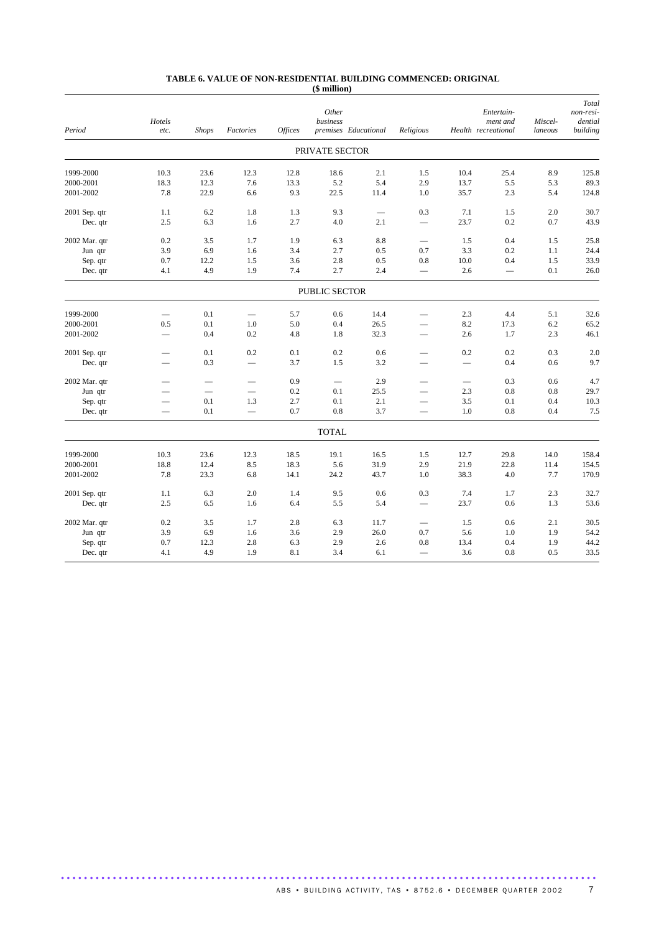#### **TABLE 6. VALUE OF NON-RESIDENTIAL BUILDING COMMENCED: ORIGINAL (\$ million)**

| Period        | Hotels<br>etc.           | <b>Shops</b> | Factories                | <b>Offices</b> | Other<br>business | premises Educational | Religious                |                                 | Entertain-<br>ment and<br>Health recreational | Miscel-<br>laneous | Total<br>non-resi-<br>dential<br>building |
|---------------|--------------------------|--------------|--------------------------|----------------|-------------------|----------------------|--------------------------|---------------------------------|-----------------------------------------------|--------------------|-------------------------------------------|
|               |                          |              |                          |                | PRIVATE SECTOR    |                      |                          |                                 |                                               |                    |                                           |
| 1999-2000     | 10.3                     | 23.6         | 12.3                     | 12.8           | 18.6              | 2.1                  | 1.5                      | 10.4                            | 25.4                                          | 8.9                | 125.8                                     |
| 2000-2001     | 18.3                     | 12.3         | 7.6                      | 13.3           | 5.2               | 5.4                  | 2.9                      | 13.7                            | 5.5                                           | 5.3                | 89.3                                      |
| 2001-2002     | 7.8                      | 22.9         | 6.6                      | 9.3            | 22.5              | 11.4                 | 1.0                      | 35.7                            | 2.3                                           | 5.4                | 124.8                                     |
| 2001 Sep. qtr | 1.1                      | 6.2          | 1.8                      | 1.3            | 9.3               | $\qquad \qquad$      | 0.3                      | 7.1                             | 1.5                                           | 2.0                | 30.7                                      |
| Dec. qtr      | 2.5                      | 6.3          | 1.6                      | 2.7            | 4.0               | 2.1                  | $\overline{\phantom{0}}$ | 23.7                            | 0.2                                           | 0.7                | 43.9                                      |
| 2002 Mar. qtr | 0.2                      | 3.5          | 1.7                      | 1.9            | 6.3               | 8.8                  | $\qquad \qquad -$        | 1.5                             | 0.4                                           | 1.5                | 25.8                                      |
| Jun qtr       | 3.9                      | 6.9          | 1.6                      | 3.4            | 2.7               | 0.5                  | 0.7                      | 3.3                             | 0.2                                           | 1.1                | 24.4                                      |
| Sep. qtr      | 0.7                      | 12.2         | 1.5                      | 3.6            | 2.8               | 0.5                  | 0.8                      | 10.0                            | 0.4                                           | 1.5                | 33.9                                      |
| Dec. qtr      | 4.1                      | 4.9          | 1.9                      | 7.4            | 2.7               | 2.4                  |                          | 2.6                             |                                               | 0.1                | 26.0                                      |
|               |                          |              |                          |                | PUBLIC SECTOR     |                      |                          |                                 |                                               |                    |                                           |
| 1999-2000     | $\overline{\phantom{0}}$ | 0.1          |                          | 5.7            | 0.6               | 14.4                 |                          | 2.3                             | 4.4                                           | 5.1                | 32.6                                      |
| 2000-2001     | 0.5                      | 0.1          | 1.0                      | 5.0            | 0.4               | 26.5                 |                          | 8.2                             | 17.3                                          | 6.2                | 65.2                                      |
| 2001-2002     | $\overline{\phantom{0}}$ | 0.4          | 0.2                      | 4.8            | 1.8               | 32.3                 | $\overline{\phantom{0}}$ | 2.6                             | 1.7                                           | 2.3                | 46.1                                      |
| 2001 Sep. qtr |                          | 0.1          | 0.2                      | 0.1            | 0.2               | 0.6                  | -                        | 0.2                             | 0.2                                           | 0.3                | 2.0                                       |
| Dec. qtr      | $\overline{\phantom{0}}$ | 0.3          |                          | 3.7            | 1.5               | 3.2                  |                          | $\overbrace{\phantom{1232211}}$ | 0.4                                           | 0.6                | 9.7                                       |
| 2002 Mar. qtr |                          |              | $\overline{\phantom{0}}$ | 0.9            |                   | 2.9                  |                          |                                 | 0.3                                           | 0.6                | 4.7                                       |
| Jun qtr       |                          |              |                          | 0.2            | 0.1               | 25.5                 | $\overline{\phantom{0}}$ | 2.3                             | 0.8                                           | 0.8                | 29.7                                      |
| Sep. qtr      | $\overline{\phantom{0}}$ | 0.1          | 1.3                      | 2.7            | 0.1               | 2.1                  |                          | 3.5                             | 0.1                                           | 0.4                | 10.3                                      |
| Dec. qtr      |                          | 0.1          | $\overline{\phantom{0}}$ | 0.7            | 0.8               | 3.7                  |                          | 1.0                             | 0.8                                           | 0.4                | 7.5                                       |
|               |                          |              |                          |                | <b>TOTAL</b>      |                      |                          |                                 |                                               |                    |                                           |
| 1999-2000     | 10.3                     | 23.6         | 12.3                     | 18.5           | 19.1              | 16.5                 | 1.5                      | 12.7                            | 29.8                                          | 14.0               | 158.4                                     |
| 2000-2001     | 18.8                     | 12.4         | 8.5                      | 18.3           | 5.6               | 31.9                 | 2.9                      | 21.9                            | 22.8                                          | 11.4               | 154.5                                     |
| 2001-2002     | 7.8                      | 23.3         | 6.8                      | 14.1           | 24.2              | 43.7                 | 1.0                      | 38.3                            | 4.0                                           | 7.7                | 170.9                                     |
| 2001 Sep. qtr | 1.1                      | 6.3          | 2.0                      | 1.4            | 9.5               | 0.6                  | 0.3                      | 7.4                             | 1.7                                           | 2.3                | 32.7                                      |
| Dec. qtr      | 2.5                      | 6.5          | 1.6                      | 6.4            | 5.5               | 5.4                  | $\overline{\phantom{0}}$ | 23.7                            | 0.6                                           | 1.3                | 53.6                                      |
| 2002 Mar. qtr | 0.2                      | 3.5          | 1.7                      | 2.8            | 6.3               | 11.7                 | $\qquad \qquad -$        | 1.5                             | 0.6                                           | 2.1                | 30.5                                      |
| Jun qtr       | 3.9                      | 6.9          | 1.6                      | 3.6            | 2.9               | 26.0                 | 0.7                      | 5.6                             | 1.0                                           | 1.9                | 54.2                                      |
| Sep. qtr      | 0.7                      | 12.3         | 2.8                      | 6.3            | 2.9               | 2.6                  | 0.8                      | 13.4                            | 0.4                                           | 1.9                | 44.2                                      |
| Dec. qtr      | 4.1                      | 4.9          | 1.9                      | 8.1            | 3.4               | 6.1                  |                          | 3.6                             | 0.8                                           | 0.5                | 33.5                                      |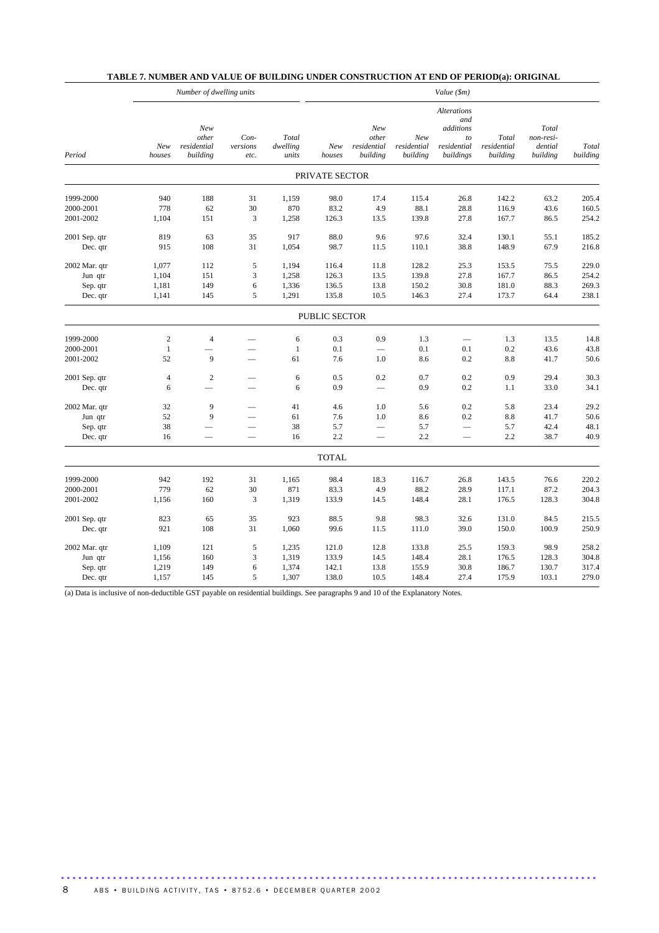| Number of dwelling units |                |                                         |                          |                            | Value (\$m)    |                                         |                                |                                                                          |                                  |                                           |                   |  |
|--------------------------|----------------|-----------------------------------------|--------------------------|----------------------------|----------------|-----------------------------------------|--------------------------------|--------------------------------------------------------------------------|----------------------------------|-------------------------------------------|-------------------|--|
| Period                   | New<br>houses  | New<br>other<br>residential<br>building | Con-<br>versions<br>etc. | Total<br>dwelling<br>units | New<br>houses  | New<br>other<br>residential<br>building | New<br>residential<br>building | <b>Alterations</b><br>and<br>additions<br>to<br>residential<br>buildings | Total<br>residential<br>building | Total<br>non-resi-<br>dential<br>building | Total<br>building |  |
|                          |                |                                         |                          |                            | PRIVATE SECTOR |                                         |                                |                                                                          |                                  |                                           |                   |  |
| 1999-2000                | 940            | 188                                     | 31                       | 1,159                      | 98.0           | 17.4                                    | 115.4                          | 26.8                                                                     | 142.2                            | 63.2                                      | 205.4             |  |
| 2000-2001                | 778            | 62                                      | 30                       | 870                        | 83.2           | 4.9                                     | 88.1                           | 28.8                                                                     | 116.9                            | 43.6                                      | 160.5             |  |
| 2001-2002                | 1,104          | 151                                     | $\mathfrak{Z}$           | 1,258                      | 126.3          | 13.5                                    | 139.8                          | 27.8                                                                     | 167.7                            | 86.5                                      | 254.2             |  |
| 2001 Sep. qtr            | 819            | 63                                      | 35                       | 917                        | 88.0           | 9.6                                     | 97.6                           | 32.4                                                                     | 130.1                            | 55.1                                      | 185.2             |  |
| Dec. qtr                 | 915            | 108                                     | 31                       | 1,054                      | 98.7           | 11.5                                    | 110.1                          | 38.8                                                                     | 148.9                            | 67.9                                      | 216.8             |  |
| 2002 Mar. qtr            | 1,077          | 112                                     | $\sqrt{5}$               | 1,194                      | 116.4          | 11.8                                    | 128.2                          | 25.3                                                                     | 153.5                            | 75.5                                      | 229.0             |  |
| Jun qtr                  | 1,104          | 151                                     | 3                        | 1,258                      | 126.3          | 13.5                                    | 139.8                          | 27.8                                                                     | 167.7                            | 86.5                                      | 254.2             |  |
| Sep. qtr                 | 1,181          | 149                                     | 6                        | 1,336                      | 136.5          | 13.8                                    | 150.2                          | 30.8                                                                     | 181.0                            | 88.3                                      | 269.3             |  |
| Dec. qtr                 | 1,141          | 145                                     | 5                        | 1,291                      | 135.8          | 10.5                                    | 146.3                          | 27.4                                                                     | 173.7                            | 64.4                                      | 238.1             |  |
|                          |                |                                         |                          |                            | PUBLIC SECTOR  |                                         |                                |                                                                          |                                  |                                           |                   |  |
| 1999-2000                | $\overline{c}$ | $\overline{4}$                          | $\overline{\phantom{a}}$ | 6                          | 0.3            | 0.9                                     | 1.3                            |                                                                          | 1.3                              | 13.5                                      | 14.8              |  |
| 2000-2001                | $\mathbf{1}$   | $\overline{\phantom{a}}$                |                          | $\mathbf{1}$               | 0.1            | $\overline{\phantom{0}}$                | 0.1                            | 0.1                                                                      | 0.2                              | 43.6                                      | 43.8              |  |
| 2001-2002                | 52             | 9                                       |                          | 61                         | 7.6            | 1.0                                     | 8.6                            | 0.2                                                                      | 8.8                              | 41.7                                      | 50.6              |  |
| 2001 Sep. qtr            | $\overline{4}$ | $\overline{c}$                          |                          | $\sqrt{6}$                 | 0.5            | 0.2                                     | 0.7                            | 0.2                                                                      | 0.9                              | 29.4                                      | 30.3              |  |
| Dec. qtr                 | 6              | $\overline{\phantom{0}}$                | $\overline{\phantom{0}}$ | 6                          | 0.9            | $\overline{\phantom{0}}$                | 0.9                            | 0.2                                                                      | 1.1                              | 33.0                                      | 34.1              |  |
| 2002 Mar. qtr            | 32             | 9                                       |                          | 41                         | 4.6            | 1.0                                     | 5.6                            | 0.2                                                                      | 5.8                              | 23.4                                      | 29.2              |  |
| Jun qtr                  | 52             | 9                                       |                          | 61                         | 7.6            | 1.0                                     | 8.6                            | 0.2                                                                      | 8.8                              | 41.7                                      | 50.6              |  |
| Sep. qtr                 | 38             |                                         | $\overline{\phantom{m}}$ | 38                         | 5.7            | $\overline{\phantom{0}}$                | 5.7                            | $\qquad \qquad -$                                                        | 5.7                              | 42.4                                      | 48.1              |  |
| Dec. qtr                 | 16             |                                         |                          | 16                         | 2.2            |                                         | 2.2                            |                                                                          | 2.2                              | 38.7                                      | 40.9              |  |
|                          |                |                                         |                          |                            | <b>TOTAL</b>   |                                         |                                |                                                                          |                                  |                                           |                   |  |
| 1999-2000                | 942            | 192                                     | 31                       | 1,165                      | 98.4           | 18.3                                    | 116.7                          | 26.8                                                                     | 143.5                            | 76.6                                      | 220.2             |  |
| 2000-2001                | 779            | 62                                      | 30                       | 871                        | 83.3           | 4.9                                     | 88.2                           | 28.9                                                                     | 117.1                            | 87.2                                      | 204.3             |  |
| 2001-2002                | 1,156          | 160                                     | 3                        | 1,319                      | 133.9          | 14.5                                    | 148.4                          | 28.1                                                                     | 176.5                            | 128.3                                     | 304.8             |  |
| 2001 Sep. qtr            | 823            | 65                                      | 35                       | 923                        | 88.5           | 9.8                                     | 98.3                           | 32.6                                                                     | 131.0                            | 84.5                                      | 215.5             |  |
| Dec. qtr                 | 921            | 108                                     | 31                       | 1,060                      | 99.6           | 11.5                                    | 111.0                          | 39.0                                                                     | 150.0                            | 100.9                                     | 250.9             |  |
| 2002 Mar. qtr            | 1,109          | 121                                     | 5                        | 1,235                      | 121.0          | 12.8                                    | 133.8                          | 25.5                                                                     | 159.3                            | 98.9                                      | 258.2             |  |
| Jun qtr                  | 1,156          | 160                                     | 3                        | 1,319                      | 133.9          | 14.5                                    | 148.4                          | 28.1                                                                     | 176.5                            | 128.3                                     | 304.8             |  |
| Sep. qtr                 | 1,219          | 149                                     | 6                        | 1,374                      | 142.1          | 13.8                                    | 155.9                          | 30.8                                                                     | 186.7                            | 130.7                                     | 317.4             |  |
| Dec. qtr                 | 1,157          | 145                                     | 5                        | 1,307                      | 138.0          | 10.5                                    | 148.4                          | 27.4                                                                     | 175.9                            | 103.1                                     | 279.0             |  |

#### **TABLE 7. NUMBER AND VALUE OF BUILDING UNDER CONSTRUCTION AT END OF PERIOD(a): ORIGINAL**

(a) Data is inclusive of non-deductible GST payable on residential buildings. See paragraphs 9 and 10 of the Explanatory Notes.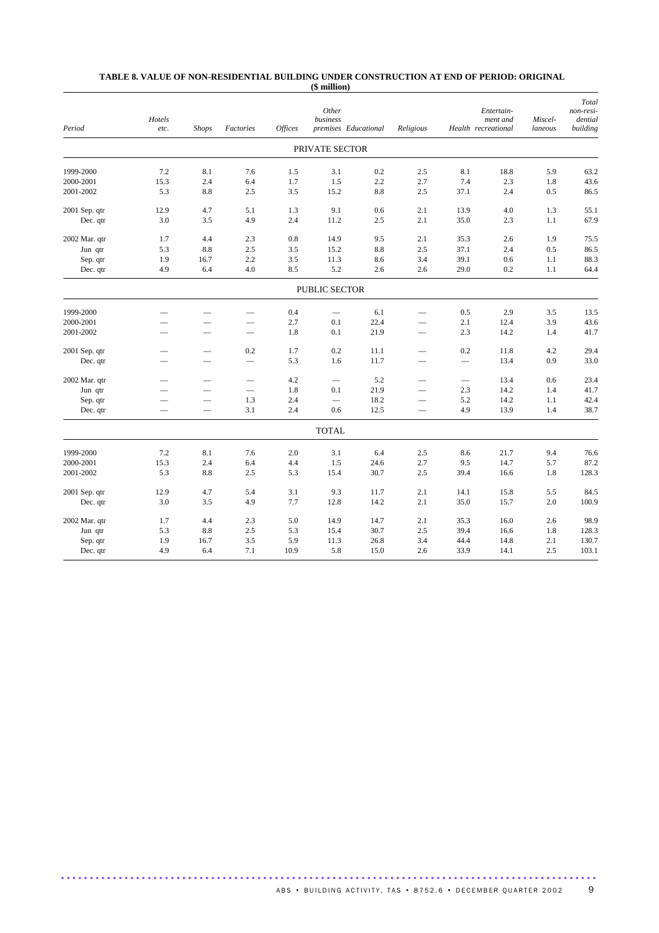#### **TABLE 8. VALUE OF NON-RESIDENTIAL BUILDING UNDER CONSTRUCTION AT END OF PERIOD: ORIGINAL (\$ million)**

| Period        | Hotels<br>etc.           | <b>Shops</b>             | Factories                     | <b>Offices</b> | Other<br>business | premises Educational | Religious                |                          | Entertain-<br>ment and<br>Health recreational | Miscel-<br>laneous | Total<br>non-resi-<br>dential<br>building |
|---------------|--------------------------|--------------------------|-------------------------------|----------------|-------------------|----------------------|--------------------------|--------------------------|-----------------------------------------------|--------------------|-------------------------------------------|
|               |                          |                          |                               |                | PRIVATE SECTOR    |                      |                          |                          |                                               |                    |                                           |
| 1999-2000     | 7.2                      | 8.1                      | 7.6                           | 1.5            | 3.1               | 0.2                  | 2.5                      | 8.1                      | 18.8                                          | 5.9                | 63.2                                      |
| 2000-2001     | 15.3                     | 2.4                      | 6.4                           | 1.7            | 1.5               | 2.2                  | 2.7                      | 7.4                      | 2.3                                           | 1.8                | 43.6                                      |
| 2001-2002     | 5.3                      | $\!\!\!\!\!8.8$          | 2.5                           | 3.5            | 15.2              | 8.8                  | 2.5                      | 37.1                     | 2.4                                           | 0.5                | 86.5                                      |
| 2001 Sep. qtr | 12.9                     | 4.7                      | 5.1                           | 1.3            | 9.1               | 0.6                  | 2.1                      | 13.9                     | 4.0                                           | 1.3                | 55.1                                      |
| Dec. qtr      | 3.0                      | 3.5                      | 4.9                           | 2.4            | 11.2              | 2.5                  | 2.1                      | 35.0                     | 2.3                                           | 1.1                | 67.9                                      |
| 2002 Mar. qtr | 1.7                      | 4.4                      | 2.3                           | 0.8            | 14.9              | 9.5                  | 2.1                      | 35.3                     | 2.6                                           | 1.9                | 75.5                                      |
| Jun qtr       | 5.3                      | 8.8                      | 2.5                           | 3.5            | 15.2              | $\!\!\!\!\!8.8$      | 2.5                      | 37.1                     | 2.4                                           | 0.5                | 86.5                                      |
| Sep. qtr      | 1.9                      | 16.7                     | 2.2                           | 3.5            | 11.3              | 8.6                  | 3.4                      | 39.1                     | 0.6                                           | 1.1                | 88.3                                      |
| Dec. qtr      | 4.9                      | 6.4                      | 4.0                           | 8.5            | 5.2               | 2.6                  | 2.6                      | 29.0                     | 0.2                                           | 1.1                | 64.4                                      |
|               |                          |                          |                               |                | PUBLIC SECTOR     |                      |                          |                          |                                               |                    |                                           |
| 1999-2000     |                          |                          |                               | 0.4            |                   | 6.1                  |                          | 0.5                      | 2.9                                           | 3.5                | 13.5                                      |
| 2000-2001     |                          |                          |                               | 2.7            | 0.1               | 22.4                 |                          | 2.1                      | 12.4                                          | 3.9                | 43.6                                      |
| 2001-2002     |                          | $\overline{\phantom{0}}$ | $\overline{\phantom{0}}$      | 1.8            | 0.1               | 21.9                 |                          | 2.3                      | 14.2                                          | 1.4                | 41.7                                      |
| 2001 Sep. qtr |                          |                          | 0.2                           | 1.7            | 0.2               | 11.1                 | $\overline{\phantom{0}}$ | 0.2                      | 11.8                                          | 4.2                | 29.4                                      |
| Dec. qtr      |                          |                          | $\frac{1}{2}$                 | 5.3            | 1.6               | 11.7                 |                          |                          | 13.4                                          | 0.9                | 33.0                                      |
| 2002 Mar. qtr | -                        | $\overline{\phantom{0}}$ | $\overbrace{\phantom{12332}}$ | 4.2            | $\qquad \qquad -$ | 5.2                  |                          | $\overline{\phantom{0}}$ | 13.4                                          | 0.6                | 23.4                                      |
| Jun qtr       |                          |                          | $\overline{\phantom{0}}$      | 1.8            | 0.1               | 21.9                 | $\overline{\phantom{0}}$ | 2.3                      | 14.2                                          | 1.4                | 41.7                                      |
| Sep. qtr      |                          |                          | 1.3                           | 2.4            | $\qquad \qquad$   | 18.2                 | $\overline{\phantom{0}}$ | 5.2                      | 14.2                                          | 1.1                | 42.4                                      |
| Dec. qtr      | $\overline{\phantom{0}}$ |                          | 3.1                           | 2.4            | 0.6               | 12.5                 | $\overline{\phantom{0}}$ | 4.9                      | 13.9                                          | 1.4                | 38.7                                      |
|               |                          |                          |                               |                | <b>TOTAL</b>      |                      |                          |                          |                                               |                    |                                           |
| 1999-2000     | 7.2                      | 8.1                      | 7.6                           | 2.0            | 3.1               | 6.4                  | 2.5                      | 8.6                      | 21.7                                          | 9.4                | 76.6                                      |
| 2000-2001     | 15.3                     | 2.4                      | 6.4                           | 4.4            | 1.5               | 24.6                 | 2.7                      | 9.5                      | 14.7                                          | 5.7                | 87.2                                      |
| 2001-2002     | 5.3                      | 8.8                      | 2.5                           | 5.3            | 15.4              | 30.7                 | 2.5                      | 39.4                     | 16.6                                          | 1.8                | 128.3                                     |
| 2001 Sep. qtr | 12.9                     | 4.7                      | 5.4                           | 3.1            | 9.3               | 11.7                 | 2.1                      | 14.1                     | 15.8                                          | 5.5                | 84.5                                      |
| Dec. qtr      | 3.0                      | 3.5                      | 4.9                           | 7.7            | 12.8              | 14.2                 | 2.1                      | 35.0                     | 15.7                                          | 2.0                | 100.9                                     |
| 2002 Mar. qtr | 1.7                      | 4.4                      | 2.3                           | 5.0            | 14.9              | 14.7                 | 2.1                      | 35.3                     | 16.0                                          | 2.6                | 98.9                                      |
| Jun qtr       | 5.3                      | 8.8                      | 2.5                           | 5.3            | 15.4              | 30.7                 | 2.5                      | 39.4                     | 16.6                                          | 1.8                | 128.3                                     |
| Sep. qtr      | 1.9                      | 16.7                     | 3.5                           | 5.9            | 11.3              | 26.8                 | 3.4                      | 44.4                     | 14.8                                          | 2.1                | 130.7                                     |
| Dec. qtr      | 4.9                      | 6.4                      | 7.1                           | 10.9           | 5.8               | 15.0                 | 2.6                      | 33.9                     | 14.1                                          | 2.5                | 103.1                                     |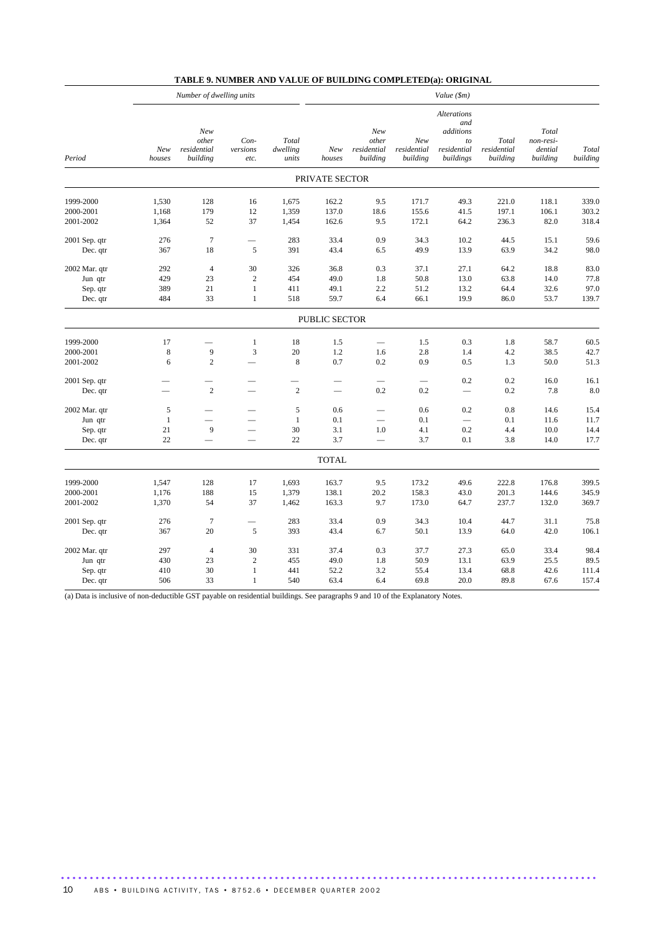|               |                          | Number of dwelling units                |                          |                            | Value (\$m)    |                                         |                                |                                                                                |                                  |                                           |                   |  |
|---------------|--------------------------|-----------------------------------------|--------------------------|----------------------------|----------------|-----------------------------------------|--------------------------------|--------------------------------------------------------------------------------|----------------------------------|-------------------------------------------|-------------------|--|
| Period        | New<br>houses            | New<br>other<br>residential<br>building | Con-<br>versions<br>etc. | Total<br>dwelling<br>units | New<br>houses  | New<br>other<br>residential<br>building | New<br>residential<br>building | <b>Alterations</b><br>and<br>additions<br>$\it to$<br>residential<br>buildings | Total<br>residential<br>building | Total<br>non-resi-<br>dential<br>building | Total<br>building |  |
|               |                          |                                         |                          |                            | PRIVATE SECTOR |                                         |                                |                                                                                |                                  |                                           |                   |  |
| 1999-2000     | 1,530                    | 128                                     | 16                       | 1,675                      | 162.2          | 9.5                                     | 171.7                          | 49.3                                                                           | 221.0                            | 118.1                                     | 339.0             |  |
| 2000-2001     | 1,168                    | 179                                     | 12                       | 1,359                      | 137.0          | 18.6                                    | 155.6                          | 41.5                                                                           | 197.1                            | 106.1                                     | 303.2             |  |
| 2001-2002     | 1,364                    | 52                                      | 37                       | 1,454                      | 162.6          | 9.5                                     | 172.1                          | 64.2                                                                           | 236.3                            | 82.0                                      | 318.4             |  |
| 2001 Sep. qtr | 276                      | $\overline{7}$                          | $\overline{\phantom{0}}$ | 283                        | 33.4           | 0.9                                     | 34.3                           | 10.2                                                                           | 44.5                             | 15.1                                      | 59.6              |  |
| Dec. qtr      | 367                      | 18                                      | 5                        | 391                        | 43.4           | 6.5                                     | 49.9                           | 13.9                                                                           | 63.9                             | 34.2                                      | 98.0              |  |
| 2002 Mar. qtr | 292                      | $\overline{4}$                          | 30                       | 326                        | 36.8           | 0.3                                     | 37.1                           | 27.1                                                                           | 64.2                             | 18.8                                      | 83.0              |  |
| Jun qtr       | 429                      | 23                                      | $\overline{c}$           | 454                        | 49.0           | 1.8                                     | 50.8                           | 13.0                                                                           | 63.8                             | 14.0                                      | 77.8              |  |
| Sep. qtr      | 389                      | 21                                      | $\mathbf{1}$             | 411                        | 49.1           | 2.2                                     | 51.2                           | 13.2                                                                           | 64.4                             | 32.6                                      | 97.0              |  |
| Dec. qtr      | 484                      | 33                                      | $\mathbf{1}$             | 518                        | 59.7           | 6.4                                     | 66.1                           | 19.9                                                                           | 86.0                             | 53.7                                      | 139.7             |  |
|               |                          |                                         |                          |                            | PUBLIC SECTOR  |                                         |                                |                                                                                |                                  |                                           |                   |  |
| 1999-2000     | 17                       |                                         | $\mathbf{1}$             | 18                         | 1.5            | $\overline{\phantom{0}}$                | 1.5                            | 0.3                                                                            | 1.8                              | 58.7                                      | 60.5              |  |
| 2000-2001     | $\,8\,$                  | 9                                       | 3                        | 20                         | 1.2            | 1.6                                     | 2.8                            | 1.4                                                                            | 4.2                              | 38.5                                      | 42.7              |  |
| 2001-2002     | 6                        | $\overline{c}$                          |                          | 8                          | 0.7            | 0.2                                     | 0.9                            | 0.5                                                                            | 1.3                              | 50.0                                      | 51.3              |  |
| 2001 Sep. qtr |                          |                                         |                          |                            |                |                                         |                                | 0.2                                                                            | 0.2                              | 16.0                                      | 16.1              |  |
| Dec. qtr      | $\overline{\phantom{0}}$ | $\overline{c}$                          |                          | $\overline{2}$             |                | 0.2                                     | 0.2                            | $\overline{\phantom{0}}$                                                       | 0.2                              | 7.8                                       | 8.0               |  |
| 2002 Mar. qtr | 5                        |                                         |                          | 5                          | 0.6            |                                         | 0.6                            | 0.2                                                                            | 0.8                              | 14.6                                      | 15.4              |  |
| Jun qtr       | $\mathbf{1}$             |                                         |                          | $\mathbf{1}$               | 0.1            |                                         | 0.1                            | $\overline{\phantom{0}}$                                                       | 0.1                              | 11.6                                      | 11.7              |  |
| Sep. qtr      | 21                       | 9                                       |                          | 30                         | 3.1            | 1.0                                     | 4.1                            | 0.2                                                                            | 4.4                              | 10.0                                      | 14.4              |  |
| Dec. qtr      | 22                       |                                         | $\overline{\phantom{0}}$ | 22                         | 3.7            | $\overline{\phantom{0}}$                | 3.7                            | 0.1                                                                            | 3.8                              | 14.0                                      | 17.7              |  |
|               |                          |                                         |                          |                            | <b>TOTAL</b>   |                                         |                                |                                                                                |                                  |                                           |                   |  |
| 1999-2000     | 1,547                    | 128                                     | 17                       | 1,693                      | 163.7          | 9.5                                     | 173.2                          | 49.6                                                                           | 222.8                            | 176.8                                     | 399.5             |  |
| 2000-2001     | 1,176                    | 188                                     | 15                       | 1,379                      | 138.1          | 20.2                                    | 158.3                          | 43.0                                                                           | 201.3                            | 144.6                                     | 345.9             |  |
| 2001-2002     | 1,370                    | 54                                      | 37                       | 1,462                      | 163.3          | 9.7                                     | 173.0                          | 64.7                                                                           | 237.7                            | 132.0                                     | 369.7             |  |
| 2001 Sep. qtr | 276                      | $\overline{7}$                          | $\overline{\phantom{0}}$ | 283                        | 33.4           | 0.9                                     | 34.3                           | 10.4                                                                           | 44.7                             | 31.1                                      | 75.8              |  |
| Dec. qtr      | 367                      | 20                                      | 5                        | 393                        | 43.4           | 6.7                                     | 50.1                           | 13.9                                                                           | 64.0                             | 42.0                                      | 106.1             |  |
| 2002 Mar. qtr | 297                      | $\overline{4}$                          | 30                       | 331                        | 37.4           | 0.3                                     | 37.7                           | 27.3                                                                           | 65.0                             | 33.4                                      | 98.4              |  |
| Jun qtr       | 430                      | 23                                      | $\overline{2}$           | 455                        | 49.0           | 1.8                                     | 50.9                           | 13.1                                                                           | 63.9                             | 25.5                                      | 89.5              |  |
| Sep. qtr      | 410                      | 30                                      | $\mathbf{1}$             | 441                        | 52.2           | 3.2                                     | 55.4                           | 13.4                                                                           | 68.8                             | 42.6                                      | 111.4             |  |
| Dec. qtr      | 506                      | 33                                      | $\mathbf{1}$             | 540                        | 63.4           | 6.4                                     | 69.8                           | 20.0                                                                           | 89.8                             | 67.6                                      | 157.4             |  |

(a) Data is inclusive of non-deductible GST payable on residential buildings. See paragraphs 9 and 10 of the Explanatory Notes.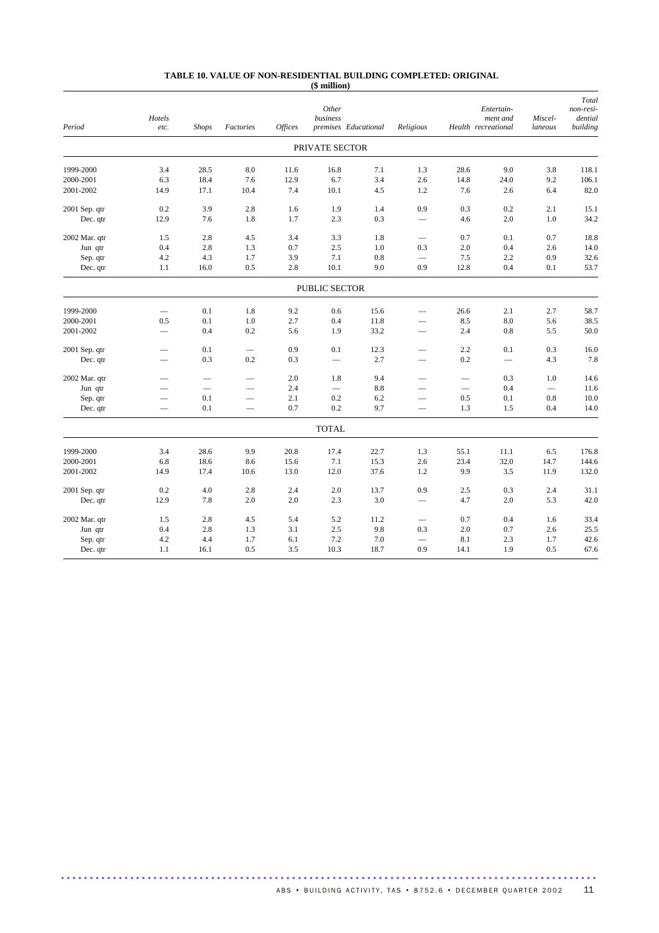#### **TABLE 10. VALUE OF NON-RESIDENTIAL BUILDING COMPLETED: ORIGINAL (\$ million)**

| Period        | Hotels<br>etc.           | <b>Shops</b>    | Factories                | <b>Offices</b> | Other<br>business        | premises Educational | Religious                    |                 | Entertain-<br>ment and<br>Health recreational | Miscel-<br>laneous | Total<br>non-resi-<br>dential<br>building |
|---------------|--------------------------|-----------------|--------------------------|----------------|--------------------------|----------------------|------------------------------|-----------------|-----------------------------------------------|--------------------|-------------------------------------------|
|               |                          |                 |                          |                | PRIVATE SECTOR           |                      |                              |                 |                                               |                    |                                           |
| 1999-2000     | 3.4                      | 28.5            | 8.0                      | 11.6           | 16.8                     | 7.1                  | 1.3                          | 28.6            | 9.0                                           | 3.8                | 118.1                                     |
| 2000-2001     | 6.3                      | 18.4            | 7.6                      | 12.9           | 6.7                      | 3.4                  | 2.6                          | 14.8            | 24.0                                          | 9.2                | 106.1                                     |
| 2001-2002     | 14.9                     | 17.1            | 10.4                     | 7.4            | 10.1                     | 4.5                  | 1.2                          | 7.6             | 2.6                                           | 6.4                | 82.0                                      |
| 2001 Sep. qtr | 0.2                      | 3.9             | 2.8                      | 1.6            | 1.9                      | 1.4                  | 0.9                          | 0.3             | 0.2                                           | 2.1                | 15.1                                      |
| Dec. qtr      | 12.9                     | 7.6             | 1.8                      | 1.7            | 2.3                      | 0.3                  | $\overbrace{\qquad \qquad }$ | 4.6             | 2.0                                           | 1.0                | 34.2                                      |
| 2002 Mar. qtr | 1.5                      | 2.8             | 4.5                      | 3.4            | 3.3                      | 1.8                  | $\overline{\phantom{0}}$     | 0.7             | 0.1                                           | 0.7                | 18.8                                      |
| Jun qtr       | 0.4                      | 2.8             | 1.3                      | 0.7            | 2.5                      | 1.0                  | 0.3                          | 2.0             | 0.4                                           | 2.6                | 14.0                                      |
| Sep. qtr      | 4.2                      | 4.3             | 1.7                      | 3.9            | 7.1                      | 0.8                  |                              | 7.5             | 2.2                                           | 0.9                | 32.6                                      |
| Dec. qtr      | 1.1                      | 16.0            | 0.5                      | 2.8            | 10.1                     | 9.0                  | 0.9                          | 12.8            | 0.4                                           | 0.1                | 53.7                                      |
|               |                          |                 |                          |                | PUBLIC SECTOR            |                      |                              |                 |                                               |                    |                                           |
| 1999-2000     | $\overline{\phantom{0}}$ | 0.1             | 1.8                      | 9.2            | 0.6                      | 15.6                 | $\overline{\phantom{0}}$     | 26.6            | 2.1                                           | 2.7                | 58.7                                      |
| 2000-2001     | 0.5                      | 0.1             | 1.0                      | 2.7            | 0.4                      | 11.8                 | $\overline{\phantom{0}}$     | 8.5             | 8.0                                           | 5.6                | 38.5                                      |
| 2001-2002     | $\qquad \qquad -$        | 0.4             | 0.2                      | 5.6            | 1.9                      | 33.2                 | $\qquad \qquad -$            | 2.4             | 0.8                                           | 5.5                | 50.0                                      |
| 2001 Sep. qtr | $\overline{\phantom{0}}$ | 0.1             | $\overline{\phantom{0}}$ | 0.9            | 0.1                      | 12.3                 | $\overline{\phantom{0}}$     | 2.2             | 0.1                                           | 0.3                | 16.0                                      |
| Dec. qtr      | $\overline{\phantom{0}}$ | 0.3             | 0.2                      | 0.3            |                          | 2.7                  | $\overline{\phantom{0}}$     | 0.2             |                                               | 4.3                | 7.8                                       |
| 2002 Mar. qtr | $\overline{\phantom{0}}$ |                 | $\qquad \qquad$          | 2.0            | 1.8                      | 9.4                  | $\overline{\phantom{0}}$     | $\qquad \qquad$ | 0.3                                           | 1.0                | 14.6                                      |
| Jun qtr       |                          | $\qquad \qquad$ |                          | 2.4            | $\overline{\phantom{0}}$ | 8.8                  | $\overline{\phantom{0}}$     |                 | 0.4                                           |                    | 11.6                                      |
| Sep. qtr      | $\overline{\phantom{0}}$ | 0.1             | $\qquad \qquad -$        | 2.1            | 0.2                      | 6.2                  | $\overline{\phantom{0}}$     | 0.5             | 0.1                                           | 0.8                | 10.0                                      |
| Dec. qtr      | $\overline{\phantom{0}}$ | 0.1             | $\overline{\phantom{0}}$ | 0.7            | 0.2                      | 9.7                  |                              | 1.3             | 1.5                                           | 0.4                | 14.0                                      |
|               |                          |                 |                          |                | <b>TOTAL</b>             |                      |                              |                 |                                               |                    |                                           |
| 1999-2000     | 3.4                      | 28.6            | 9.9                      | 20.8           | 17.4                     | 22.7                 | 1.3                          | 55.1            | 11.1                                          | 6.5                | 176.8                                     |
| 2000-2001     | 6.8                      | 18.6            | 8.6                      | 15.6           | 7.1                      | 15.3                 | 2.6                          | 23.4            | 32.0                                          | 14.7               | 144.6                                     |
| 2001-2002     | 14.9                     | 17.4            | 10.6                     | 13.0           | 12.0                     | 37.6                 | 1.2                          | 9.9             | 3.5                                           | 11.9               | 132.0                                     |
| 2001 Sep. qtr | 0.2                      | 4.0             | 2.8                      | 2.4            | 2.0                      | 13.7                 | 0.9                          | 2.5             | 0.3                                           | 2.4                | 31.1                                      |
| Dec. qtr      | 12.9                     | 7.8             | 2.0                      | 2.0            | 2.3                      | 3.0                  |                              | 4.7             | 2.0                                           | 5.3                | 42.0                                      |
| 2002 Mar. qtr | 1.5                      | 2.8             | 4.5                      | 5.4            | 5.2                      | 11.2                 | $\qquad \qquad -$            | 0.7             | 0.4                                           | 1.6                | 33.4                                      |
| Jun qtr       | 0.4                      | 2.8             | 1.3                      | 3.1            | 2.5                      | 9.8                  | 0.3                          | 2.0             | 0.7                                           | 2.6                | 25.5                                      |
| Sep. qtr      | 4.2                      | 4.4             | 1.7                      | 6.1            | 7.2                      | 7.0                  |                              | 8.1             | 2.3                                           | 1.7                | 42.6                                      |
| Dec. qtr      | 1.1                      | 16.1            | 0.5                      | 3.5            | 10.3                     | 18.7                 | 0.9                          | 14.1            | 1.9                                           | 0.5                | 67.6                                      |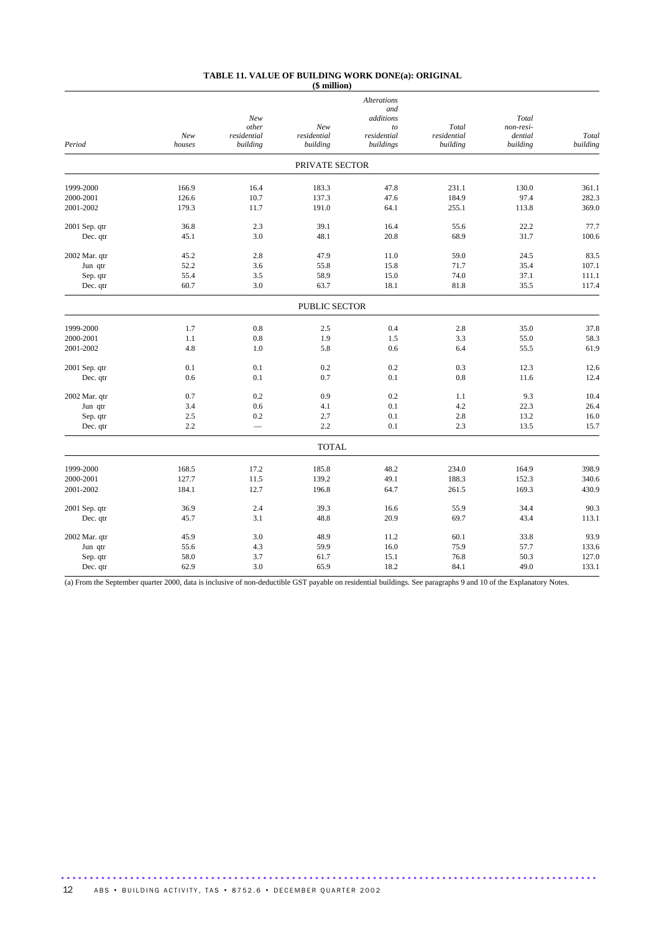#### **TABLE 11. VALUE OF BUILDING WORK DONE(a): ORIGINAL (\$ million)**

|                        |              |                          |                | <b>Alterations</b> |              |              |               |
|------------------------|--------------|--------------------------|----------------|--------------------|--------------|--------------|---------------|
|                        |              | New                      |                | and<br>additions   |              | Total        |               |
|                        |              | other                    | New            | to                 | Total        | non-resi-    |               |
|                        | New          | residential              | residential    | residential        | residential  | dential      | Total         |
| Period                 | houses       | building                 | building       | buildings          | building     | building     | building      |
|                        |              |                          | PRIVATE SECTOR |                    |              |              |               |
| 1999-2000              | 166.9        | 16.4                     | 183.3          | 47.8               | 231.1        | 130.0        | 361.1         |
| 2000-2001              | 126.6        | 10.7                     | 137.3          | 47.6               | 184.9        | 97.4         | 282.3         |
| 2001-2002              | 179.3        | 11.7                     | 191.0          | 64.1               | 255.1        | 113.8        | 369.0         |
| 2001 Sep. qtr          | 36.8         | 2.3                      | 39.1           | 16.4               | 55.6         | 22.2         | 77.7          |
| Dec. qtr               | 45.1         | 3.0                      | 48.1           | 20.8               | 68.9         | 31.7         | 100.6         |
| 2002 Mar. qtr          | 45.2         | 2.8                      | 47.9           | 11.0               | 59.0         | 24.5         | 83.5          |
| Jun qtr                | 52.2         | 3.6                      | 55.8           | 15.8               | 71.7         | 35.4         | 107.1         |
| Sep. qtr               | 55.4         | 3.5                      | 58.9           | 15.0               | 74.0         | 37.1         | 111.1         |
| Dec. qtr               | 60.7         | 3.0                      | 63.7           | 18.1               | 81.8         | 35.5         | 117.4         |
|                        |              |                          | PUBLIC SECTOR  |                    |              |              |               |
|                        |              |                          |                |                    |              |              |               |
| 1999-2000<br>2000-2001 | 1.7<br>1.1   | 0.8<br>0.8               | 2.5<br>1.9     | 0.4<br>1.5         | 2.8<br>3.3   | 35.0<br>55.0 | 37.8<br>58.3  |
| 2001-2002              | 4.8          | 1.0                      | 5.8            | 0.6                | 6.4          | 55.5         | 61.9          |
|                        |              |                          |                |                    |              |              |               |
| 2001 Sep. qtr          | 0.1          | 0.1                      | 0.2            | 0.2                | 0.3          | 12.3         | 12.6          |
| Dec. qtr               | 0.6          | 0.1                      | 0.7            | 0.1                | 0.8          | 11.6         | 12.4          |
| 2002 Mar. qtr          | 0.7          | 0.2                      | 0.9            | 0.2                | 1.1          | 9.3          | 10.4          |
| Jun qtr                | 3.4          | 0.6                      | 4.1            | 0.1                | 4.2          | 22.3         | 26.4          |
| Sep. qtr               | 2.5          | 0.2                      | 2.7            | 0.1                | 2.8          | 13.2         | 16.0          |
| Dec. qtr               | 2.2          | $\overline{\phantom{0}}$ | 2.2            | 0.1                | 2.3          | 13.5         | 15.7          |
|                        |              |                          | <b>TOTAL</b>   |                    |              |              |               |
| 1999-2000              | 168.5        | 17.2                     | 185.8          | 48.2               | 234.0        | 164.9        | 398.9         |
| 2000-2001              | 127.7        | 11.5                     | 139.2          | 49.1               | 188.3        | 152.3        | 340.6         |
| 2001-2002              | 184.1        | 12.7                     | 196.8          | 64.7               | 261.5        | 169.3        | 430.9         |
| 2001 Sep. qtr          | 36.9         | 2.4                      | 39.3           | 16.6               | 55.9         | 34.4         | 90.3          |
| Dec. qtr               | 45.7         | 3.1                      | 48.8           | 20.9               | 69.7         | 43.4         | 113.1         |
|                        |              |                          |                |                    |              |              |               |
| 2002 Mar. qtr          | 45.9<br>55.6 | 3.0<br>4.3               | 48.9<br>59.9   | 11.2<br>16.0       | 60.1<br>75.9 | 33.8<br>57.7 | 93.9<br>133.6 |
| Jun qtr<br>Sep. qtr    | 58.0         | 3.7                      | 61.7           | 15.1               | 76.8         | 50.3         | 127.0         |
| Dec. qtr               | 62.9         | 3.0                      | 65.9           | 18.2               | 84.1         | 49.0         | 133.1         |
|                        |              |                          |                |                    |              |              |               |

(a) From the September quarter 2000, data is inclusive of non-deductible GST payable on residential buildings. See paragraphs 9 and 10 of the Explanatory Notes.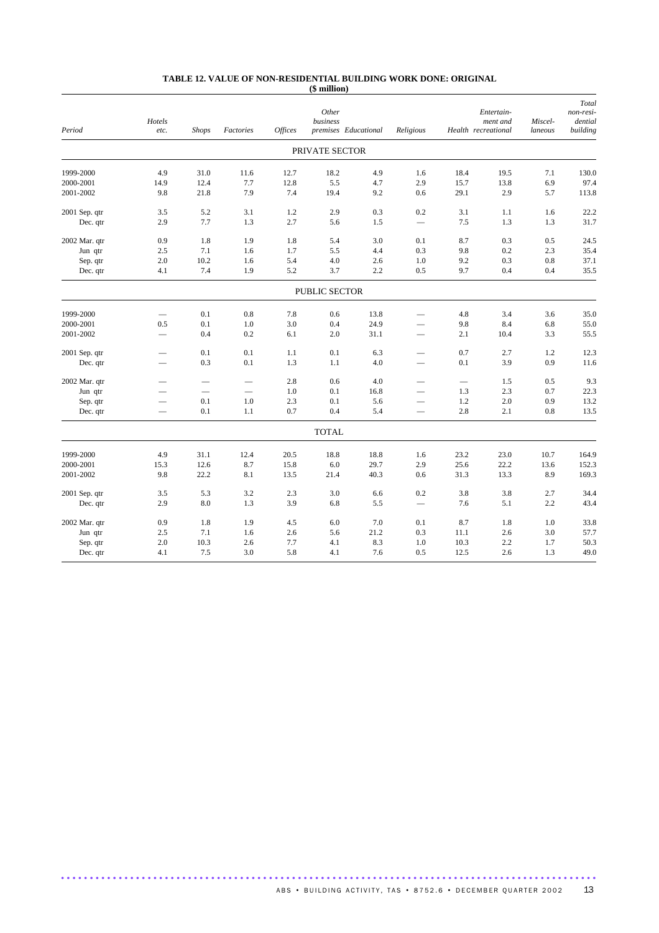#### **TABLE 12. VALUE OF NON-RESIDENTIAL BUILDING WORK DONE: ORIGINAL (\$ million)**

| Period        | Hotels<br>etc.           | <b>Shops</b>                    | Factories       | <b>Offices</b> | Other<br>business | premises Educational | Religious                                                                                                                                                                                                                      |                 | Entertain-<br>ment and<br>Health recreational | Miscel-<br>laneous | Total<br>non-resi-<br>dential<br>building |
|---------------|--------------------------|---------------------------------|-----------------|----------------|-------------------|----------------------|--------------------------------------------------------------------------------------------------------------------------------------------------------------------------------------------------------------------------------|-----------------|-----------------------------------------------|--------------------|-------------------------------------------|
|               |                          |                                 |                 |                | PRIVATE SECTOR    |                      |                                                                                                                                                                                                                                |                 |                                               |                    |                                           |
| 1999-2000     | 4.9                      | 31.0                            | 11.6            | 12.7           | 18.2              | 4.9                  | 1.6                                                                                                                                                                                                                            | 18.4            | 19.5                                          | 7.1                | 130.0                                     |
| 2000-2001     | 14.9                     | 12.4                            | 7.7             | 12.8           | 5.5               | 4.7                  | 2.9                                                                                                                                                                                                                            | 15.7            | 13.8                                          | 6.9                | 97.4                                      |
| 2001-2002     | 9.8                      | 21.8                            | 7.9             | 7.4            | 19.4              | 9.2                  | 0.6                                                                                                                                                                                                                            | 29.1            | 2.9                                           | 5.7                | 113.8                                     |
| 2001 Sep. qtr | 3.5                      | 5.2                             | 3.1             | 1.2            | 2.9               | 0.3                  | 0.2                                                                                                                                                                                                                            | 3.1             | 1.1                                           | 1.6                | 22.2                                      |
| Dec. qtr      | 2.9                      | 7.7                             | 1.3             | 2.7            | 5.6               | 1.5                  |                                                                                                                                                                                                                                | 7.5             | 1.3                                           | 1.3                | 31.7                                      |
| 2002 Mar. qtr | 0.9                      | 1.8                             | 1.9             | 1.8            | 5.4               | 3.0                  | 0.1                                                                                                                                                                                                                            | 8.7             | 0.3                                           | 0.5                | 24.5                                      |
| Jun qtr       | 2.5                      | 7.1                             | 1.6             | 1.7            | 5.5               | 4.4                  | 0.3                                                                                                                                                                                                                            | 9.8             | 0.2                                           | 2.3                | 35.4                                      |
| Sep. qtr      | 2.0                      | 10.2                            | 1.6             | 5.4            | 4.0               | 2.6                  | 1.0                                                                                                                                                                                                                            | 9.2             | 0.3                                           | $0.8\,$            | 37.1                                      |
| Dec. qtr      | 4.1                      | 7.4                             | 1.9             | 5.2            | 3.7               | 2.2                  | 0.5                                                                                                                                                                                                                            | 9.7             | 0.4                                           | 0.4                | 35.5                                      |
|               |                          |                                 |                 |                | PUBLIC SECTOR     |                      |                                                                                                                                                                                                                                |                 |                                               |                    |                                           |
| 1999-2000     |                          | 0.1                             | 0.8             | 7.8            | 0.6               | 13.8                 | and the contract of the contract of the contract of the contract of the contract of the contract of the contract of the contract of the contract of the contract of the contract of the contract of the contract of the contra | 4.8             | 3.4                                           | 3.6                | 35.0                                      |
| 2000-2001     | 0.5                      | 0.1                             | 1.0             | 3.0            | 0.4               | 24.9                 |                                                                                                                                                                                                                                | 9.8             | 8.4                                           | 6.8                | 55.0                                      |
| 2001-2002     |                          | 0.4                             | 0.2             | 6.1            | 2.0               | 31.1                 |                                                                                                                                                                                                                                | 2.1             | 10.4                                          | 3.3                | 55.5                                      |
| 2001 Sep. qtr | $\overline{\phantom{0}}$ | 0.1                             | 0.1             | 1.1            | 0.1               | 6.3                  | $\overline{\phantom{0}}$                                                                                                                                                                                                       | 0.7             | 2.7                                           | 1.2                | 12.3                                      |
| Dec. qtr      |                          | 0.3                             | 0.1             | 1.3            | 1.1               | 4.0                  |                                                                                                                                                                                                                                | 0.1             | 3.9                                           | 0.9                | 11.6                                      |
| 2002 Mar. qtr | $\overline{\phantom{0}}$ |                                 | $\qquad \qquad$ | 2.8            | 0.6               | 4.0                  | –                                                                                                                                                                                                                              | $\qquad \qquad$ | 1.5                                           | 0.5                | 9.3                                       |
| Jun qtr       |                          | $\overbrace{\phantom{1232211}}$ | $\qquad \qquad$ | 1.0            | 0.1               | 16.8                 |                                                                                                                                                                                                                                | 1.3             | 2.3                                           | 0.7                | 22.3                                      |
| Sep. qtr      |                          | 0.1                             | 1.0             | 2.3            | 0.1               | 5.6                  |                                                                                                                                                                                                                                | 1.2             | 2.0                                           | 0.9                | 13.2                                      |
| Dec. qtr      |                          | 0.1                             | 1.1             | 0.7            | 0.4               | 5.4                  | $\overline{\phantom{0}}$                                                                                                                                                                                                       | 2.8             | 2.1                                           | 0.8                | 13.5                                      |
|               |                          |                                 |                 |                | <b>TOTAL</b>      |                      |                                                                                                                                                                                                                                |                 |                                               |                    |                                           |
| 1999-2000     | 4.9                      | 31.1                            | 12.4            | 20.5           | 18.8              | 18.8                 | 1.6                                                                                                                                                                                                                            | 23.2            | 23.0                                          | 10.7               | 164.9                                     |
| 2000-2001     | 15.3                     | 12.6                            | 8.7             | 15.8           | 6.0               | 29.7                 | 2.9                                                                                                                                                                                                                            | 25.6            | 22.2                                          | 13.6               | 152.3                                     |
| 2001-2002     | 9.8                      | 22.2                            | 8.1             | 13.5           | 21.4              | 40.3                 | 0.6                                                                                                                                                                                                                            | 31.3            | 13.3                                          | 8.9                | 169.3                                     |
| 2001 Sep. qtr | 3.5                      | 5.3                             | 3.2             | 2.3            | 3.0               | 6.6                  | 0.2                                                                                                                                                                                                                            | 3.8             | 3.8                                           | 2.7                | 34.4                                      |
| Dec. qtr      | 2.9                      | 8.0                             | 1.3             | 3.9            | 6.8               | 5.5                  |                                                                                                                                                                                                                                | 7.6             | 5.1                                           | 2.2                | 43.4                                      |
| 2002 Mar. qtr | 0.9                      | 1.8                             | 1.9             | 4.5            | 6.0               | 7.0                  | 0.1                                                                                                                                                                                                                            | 8.7             | 1.8                                           | $1.0\,$            | 33.8                                      |
| Jun qtr       | 2.5                      | 7.1                             | 1.6             | 2.6            | 5.6               | 21.2                 | 0.3                                                                                                                                                                                                                            | 11.1            | 2.6                                           | 3.0                | 57.7                                      |
| Sep. qtr      | 2.0                      | 10.3                            | 2.6             | 7.7            | 4.1               | 8.3                  | 1.0                                                                                                                                                                                                                            | 10.3            | 2.2                                           | 1.7                | 50.3                                      |
| Dec. qtr      | 4.1                      | 7.5                             | 3.0             | 5.8            | 4.1               | 7.6                  | 0.5                                                                                                                                                                                                                            | 12.5            | 2.6                                           | 1.3                | 49.0                                      |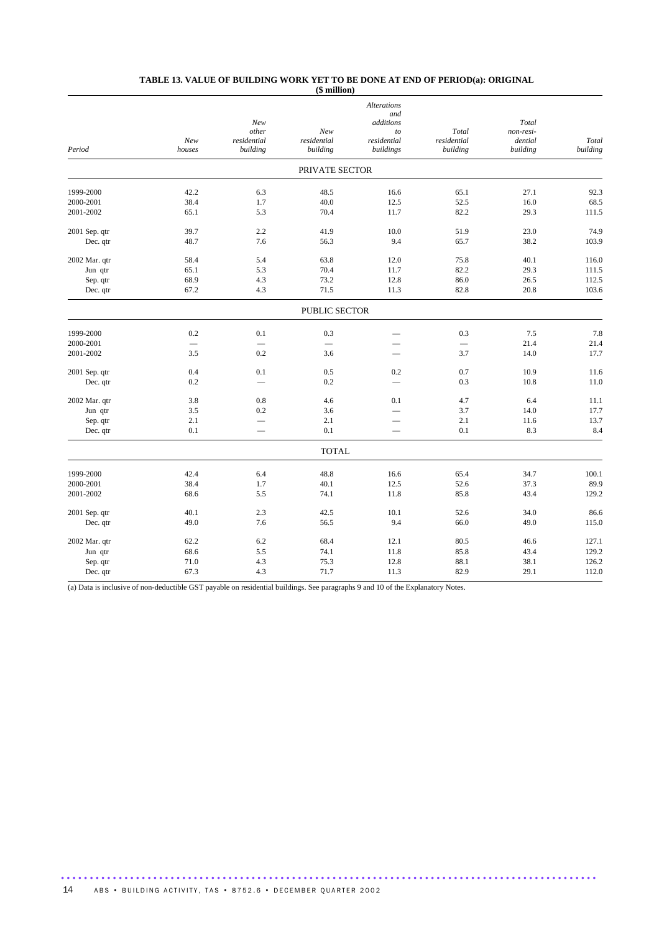#### **TABLE 13. VALUE OF BUILDING WORK YET TO BE DONE AT END OF PERIOD(a): ORIGINAL (\$ million)**

|               |                          |                                 |                      | <b>Alterations</b>       |             |           |          |
|---------------|--------------------------|---------------------------------|----------------------|--------------------------|-------------|-----------|----------|
|               |                          |                                 |                      | and                      |             |           |          |
|               |                          | New                             |                      | additions                |             | Total     |          |
|               |                          | other                           | New                  | to                       | Total       | non-resi- |          |
|               | New                      | residential                     | residential          | residential              | residential | dential   | Total    |
| Period        | houses                   | building                        | building             | buildings                | building    | building  | building |
|               |                          |                                 | PRIVATE SECTOR       |                          |             |           |          |
| 1999-2000     | 42.2                     | 6.3                             | 48.5                 | 16.6                     | 65.1        | 27.1      | 92.3     |
| 2000-2001     | 38.4                     | 1.7                             | 40.0                 | 12.5                     | 52.5        | 16.0      | 68.5     |
| 2001-2002     | 65.1                     | 5.3                             | 70.4                 | 11.7                     | 82.2        | 29.3      | 111.5    |
| 2001 Sep. qtr | 39.7                     | 2.2                             | 41.9                 | 10.0                     | 51.9        | 23.0      | 74.9     |
| Dec. qtr      | 48.7                     | 7.6                             | 56.3                 | 9.4                      | 65.7        | 38.2      | 103.9    |
|               |                          |                                 |                      |                          |             |           |          |
| 2002 Mar. qtr | 58.4                     | 5.4                             | 63.8                 | 12.0                     | 75.8        | 40.1      | 116.0    |
| Jun qtr       | 65.1                     | 5.3                             | 70.4                 | 11.7                     | 82.2        | 29.3      | 111.5    |
| Sep. qtr      | 68.9                     | 4.3                             | 73.2                 | 12.8                     | 86.0        | 26.5      | 112.5    |
| Dec. qtr      | 67.2                     | 4.3                             | 71.5                 | 11.3                     | 82.8        | 20.8      | 103.6    |
|               |                          |                                 | PUBLIC SECTOR        |                          |             |           |          |
| 1999-2000     | 0.2                      | 0.1                             |                      |                          | 0.3         | 7.5       | 7.8      |
|               | $\overline{\phantom{0}}$ |                                 | 0.3<br>$\frac{1}{1}$ |                          |             |           |          |
| 2000-2001     | 3.5                      | $\overline{\phantom{0}}$<br>0.2 |                      |                          | 3.7         | 21.4      | 21.4     |
| 2001-2002     |                          |                                 | 3.6                  |                          |             | 14.0      | 17.7     |
| 2001 Sep. qtr | 0.4                      | 0.1                             | 0.5                  | 0.2                      | 0.7         | 10.9      | 11.6     |
| Dec. qtr      | 0.2                      | $\overline{\phantom{0}}$        | 0.2                  |                          | 0.3         | 10.8      | 11.0     |
| 2002 Mar. qtr | 3.8                      | 0.8                             | 4.6                  | 0.1                      | 4.7         | 6.4       | 11.1     |
| Jun qtr       | 3.5                      | 0.2                             | 3.6                  | $\overline{\phantom{0}}$ | 3.7         | 14.0      | 17.7     |
| Sep. qtr      | 2.1                      |                                 | 2.1                  | $\overline{\phantom{0}}$ | 2.1         | 11.6      | 13.7     |
| Dec. qtr      | 0.1                      |                                 | 0.1                  |                          | 0.1         | 8.3       | 8.4      |
|               |                          |                                 | <b>TOTAL</b>         |                          |             |           |          |
|               |                          |                                 |                      |                          |             |           |          |
| 1999-2000     | 42.4                     | 6.4                             | 48.8                 | 16.6                     | 65.4        | 34.7      | 100.1    |
| 2000-2001     | 38.4                     | 1.7                             | 40.1                 | 12.5                     | 52.6        | 37.3      | 89.9     |
| 2001-2002     | 68.6                     | 5.5                             | 74.1                 | 11.8                     | 85.8        | 43.4      | 129.2    |
| 2001 Sep. qtr | 40.1                     | 2.3                             | 42.5                 | 10.1                     | 52.6        | 34.0      | 86.6     |
| Dec. qtr      | 49.0                     | 7.6                             | 56.5                 | 9.4                      | 66.0        | 49.0      | 115.0    |
| 2002 Mar. qtr | 62.2                     | 6.2                             | 68.4                 | 12.1                     | 80.5        | 46.6      | 127.1    |
| Jun qtr       | 68.6                     | 5.5                             | 74.1                 | 11.8                     | 85.8        | 43.4      | 129.2    |
| Sep. qtr      | 71.0                     | 4.3                             | 75.3                 | 12.8                     | 88.1        | 38.1      | 126.2    |
| Dec. qtr      | 67.3                     | 4.3                             | 71.7                 | 11.3                     | 82.9        | 29.1      | 112.0    |
|               |                          |                                 |                      |                          |             |           |          |

(a) Data is inclusive of non-deductible GST payable on residential buildings. See paragraphs 9 and 10 of the Explanatory Notes.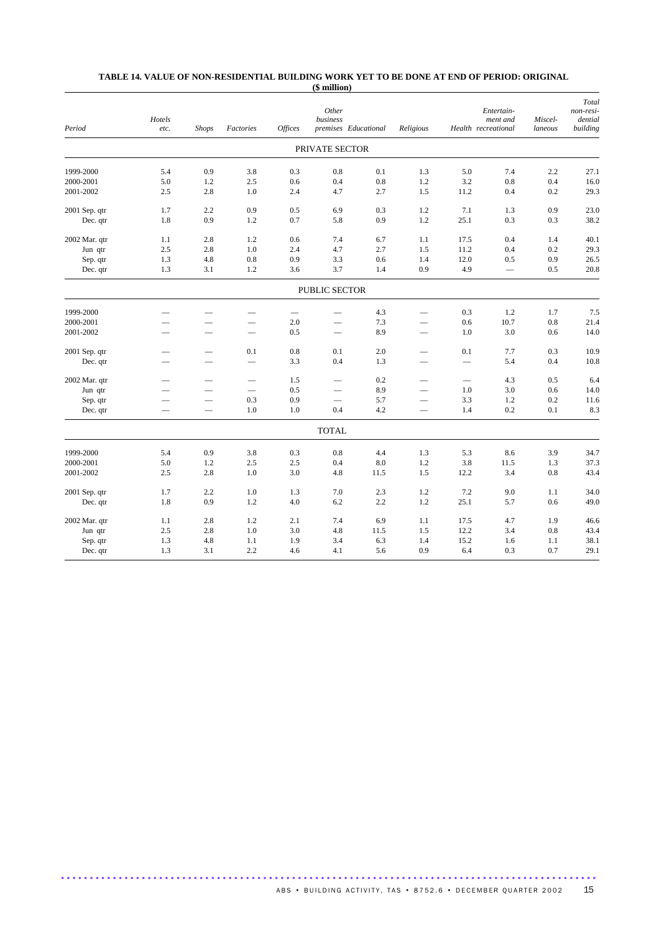#### **TABLE 14. VALUE OF NON-RESIDENTIAL BUILDING WORK YET TO BE DONE AT END OF PERIOD: ORIGINAL (\$ million)**

|               |                          |                          |                          |                 | Other                         |                      |                          |                          | Entertain-                      |                    | Total<br>non-resi-  |
|---------------|--------------------------|--------------------------|--------------------------|-----------------|-------------------------------|----------------------|--------------------------|--------------------------|---------------------------------|--------------------|---------------------|
| Period        | Hotels<br>etc.           | <b>Shops</b>             | Factories                | <b>Offices</b>  | business                      | premises Educational | Religious                |                          | ment and<br>Health recreational | Miscel-<br>laneous | dential<br>building |
|               |                          |                          |                          |                 |                               |                      |                          |                          |                                 |                    |                     |
|               |                          |                          |                          |                 | PRIVATE SECTOR                |                      |                          |                          |                                 |                    |                     |
| 1999-2000     | 5.4                      | 0.9                      | 3.8                      | 0.3             | 0.8                           | 0.1                  | 1.3                      | 5.0                      | 7.4                             | 2.2                | 27.1                |
| 2000-2001     | 5.0                      | 1.2                      | 2.5                      | 0.6             | 0.4                           | 0.8                  | 1.2                      | 3.2                      | $0.8\,$                         | 0.4                | 16.0                |
| 2001-2002     | 2.5                      | 2.8                      | 1.0                      | 2.4             | 4.7                           | 2.7                  | 1.5                      | 11.2                     | 0.4                             | 0.2                | 29.3                |
| 2001 Sep. qtr | 1.7                      | 2.2                      | 0.9                      | 0.5             | 6.9                           | 0.3                  | 1.2                      | 7.1                      | 1.3                             | 0.9                | 23.0                |
| Dec. qtr      | 1.8                      | 0.9                      | 1.2                      | 0.7             | 5.8                           | 0.9                  | 1.2                      | 25.1                     | 0.3                             | 0.3                | 38.2                |
| 2002 Mar. qtr | 1.1                      | 2.8                      | 1.2                      | 0.6             | 7.4                           | 6.7                  | 1.1                      | 17.5                     | 0.4                             | 1.4                | 40.1                |
| Jun qtr       | 2.5                      | 2.8                      | 1.0                      | 2.4             | 4.7                           | 2.7                  | 1.5                      | 11.2                     | 0.4                             | 0.2                | 29.3                |
| Sep. qtr      | 1.3                      | 4.8                      | 0.8                      | 0.9             | 3.3                           | 0.6                  | 1.4                      | 12.0                     | 0.5                             | 0.9                | 26.5                |
| Dec. qtr      | 1.3                      | 3.1                      | 1.2                      | 3.6             | 3.7                           | 1.4                  | 0.9                      | 4.9                      | $\overline{\phantom{0}}$        | 0.5                | 20.8                |
|               |                          |                          |                          |                 | PUBLIC SECTOR                 |                      |                          |                          |                                 |                    |                     |
| 1999-2000     |                          |                          |                          | $\qquad \qquad$ |                               | 4.3                  | $\overline{\phantom{0}}$ | 0.3                      | 1.2                             | 1.7                | 7.5                 |
| 2000-2001     |                          |                          |                          | 2.0             | $\overline{\phantom{0}}$      | 7.3                  | $\overline{\phantom{0}}$ | 0.6                      | 10.7                            | 0.8                | 21.4                |
| 2001-2002     |                          |                          |                          | 0.5             | $\overline{\phantom{0}}$      | 8.9                  | $\overline{\phantom{0}}$ | 1.0                      | 3.0                             | 0.6                | 14.0                |
| 2001 Sep. qtr |                          |                          | 0.1                      | 0.8             | 0.1                           | 2.0                  |                          | 0.1                      | 7.7                             | 0.3                | 10.9                |
| Dec. qtr      |                          |                          |                          | 3.3             | 0.4                           | 1.3                  |                          | $\overline{\phantom{0}}$ | 5.4                             | 0.4                | 10.8                |
|               |                          |                          |                          |                 |                               |                      |                          |                          |                                 |                    |                     |
| 2002 Mar. qtr | –                        | -                        |                          | 1.5             |                               | 0.2                  |                          | $\overline{\phantom{0}}$ | 4.3                             | 0.5                | 6.4                 |
| Jun qtr       | $\overline{\phantom{0}}$ | $\overline{\phantom{0}}$ | $\overline{\phantom{0}}$ | 0.5             | $\overbrace{\phantom{12333}}$ | 8.9                  | $\overline{\phantom{0}}$ | 1.0                      | 3.0                             | 0.6                | 14.0                |
| Sep. qtr      |                          |                          | 0.3                      | 0.9             |                               | 5.7                  | $\overline{\phantom{0}}$ | 3.3                      | 1.2                             | 0.2                | 11.6                |
| Dec. qtr      |                          | $\qquad \qquad$          | 1.0                      | 1.0             | 0.4                           | 4.2                  | $\overline{\phantom{0}}$ | 1.4                      | 0.2                             | 0.1                | 8.3                 |
|               |                          |                          |                          |                 | <b>TOTAL</b>                  |                      |                          |                          |                                 |                    |                     |
| 1999-2000     | 5.4                      | 0.9                      | 3.8                      | 0.3             | 0.8                           | 4.4                  | 1.3                      | 5.3                      | 8.6                             | 3.9                | 34.7                |
| 2000-2001     | 5.0                      | 1.2                      | 2.5                      | 2.5             | 0.4                           | 8.0                  | 1.2                      | 3.8                      | 11.5                            | 1.3                | 37.3                |
| 2001-2002     | 2.5                      | 2.8                      | 1.0                      | 3.0             | 4.8                           | 11.5                 | 1.5                      | 12.2                     | 3.4                             | $0.8\,$            | 43.4                |
| 2001 Sep. qtr | 1.7                      | 2.2                      | 1.0                      | 1.3             | 7.0                           | 2.3                  | 1.2                      | 7.2                      | 9.0                             | 1.1                | 34.0                |
| Dec. qtr      | 1.8                      | 0.9                      | 1.2                      | 4.0             | 6.2                           | 2.2                  | 1.2                      | 25.1                     | 5.7                             | 0.6                | 49.0                |
| 2002 Mar. qtr | 1.1                      | 2.8                      | 1.2                      | 2.1             | 7.4                           | 6.9                  | 1.1                      | 17.5                     | 4.7                             | 1.9                | 46.6                |
| Jun qtr       | 2.5                      | 2.8                      | 1.0                      | 3.0             | 4.8                           | 11.5                 | 1.5                      | 12.2                     | 3.4                             | 0.8                | 43.4                |
| Sep. qtr      | 1.3                      | 4.8                      | 1.1                      | 1.9             | 3.4                           | 6.3                  | 1.4                      | 15.2                     | 1.6                             | 1.1                | 38.1                |
| Dec. qtr      | 1.3                      | 3.1                      | 2.2                      | 4.6             | 4.1                           | 5.6                  | 0.9                      | 6.4                      | 0.3                             | 0.7                | 29.1                |
|               |                          |                          |                          |                 |                               |                      |                          |                          |                                 |                    |                     |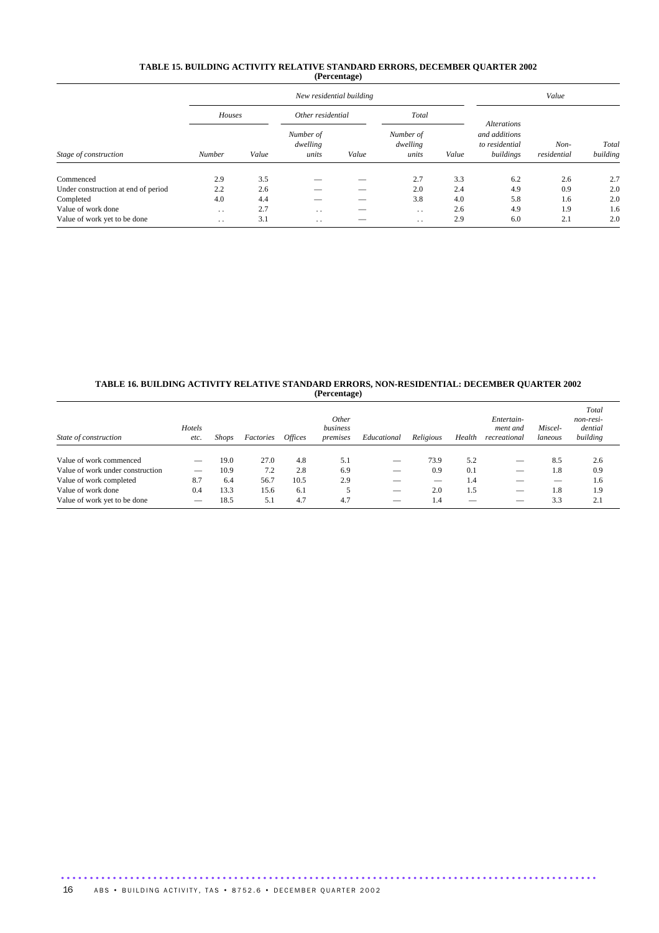#### **TABLE 15. BUILDING ACTIVITY RELATIVE STANDARD ERRORS, DECEMBER QUARTER 2002 (Percentage)**

|                                     |                 |       | New residential building       | Value |                                |       |                                                                    |                     |                   |
|-------------------------------------|-----------------|-------|--------------------------------|-------|--------------------------------|-------|--------------------------------------------------------------------|---------------------|-------------------|
|                                     | Houses          |       | Other residential              |       | Total                          |       |                                                                    |                     |                   |
| Stage of construction               | Number          | Value | Number of<br>dwelling<br>units | Value | Number of<br>dwelling<br>units | Value | <b>Alterations</b><br>and additions<br>to residential<br>buildings | Non-<br>residential | Total<br>building |
| Commenced                           | 2.9             | 3.5   |                                |       | 2.7                            | 3.3   | 6.2                                                                | 2.6                 | 2.7               |
| Under construction at end of period | 2.2             | 2.6   |                                |       | 2.0                            | 2.4   | 4.9                                                                | 0.9                 | 2.0               |
| Completed                           | 4.0             | 4.4   |                                |       | 3.8                            | 4.0   | 5.8                                                                | 1.6                 | 2.0               |
| Value of work done                  | $\cdot$ $\cdot$ | 2.7   | $\cdot$ $\cdot$                | _     | $\cdot$ .                      | 2.6   | 4.9                                                                | 1.9                 | 1.6               |
| Value of work yet to be done        | $\cdot$ .       | 3.1   | $\cdot$ $\cdot$                | --    | $\ddotsc$                      | 2.9   | 6.0                                                                | 2.1                 | 2.0               |

#### **TABLE 16. BUILDING ACTIVITY RELATIVE STANDARD ERRORS, NON-RESIDENTIAL: DECEMBER QUARTER 2002 (Percentage)**

| State of construction            | Hotels<br>etc. | <b>Shops</b> | Factories | <i><b>Offices</b></i> | <i>Other</i><br>business<br>premises | Educational | Religious                | Health | Entertain-<br>ment and<br>recreational | Miscel-<br>laneous | Total<br>non-resi-<br>dential<br>building |
|----------------------------------|----------------|--------------|-----------|-----------------------|--------------------------------------|-------------|--------------------------|--------|----------------------------------------|--------------------|-------------------------------------------|
|                                  |                |              |           |                       |                                      |             |                          |        |                                        |                    |                                           |
| Value of work commenced          |                | 19.0         | 27.0      | 4.8                   | 5.1                                  |             | 73.9                     | 5.2    | $\overline{\phantom{a}}$               | 8.5                | 2.6                                       |
| Value of work under construction |                | 10.9         | 7.2       | 2.8                   | 6.9                                  |             | 0.9                      | 0.1    | _                                      | 1.8                | 0.9                                       |
| Value of work completed          | 8.7            | 6.4          | 56.7      | 10.5                  | 2.9                                  |             | $\overline{\phantom{a}}$ | 1.4    |                                        |                    | 1.6                                       |
| Value of work done               | 0.4            | 13.3         | 15.6      | 6.1                   | 5                                    |             | 2.0                      | 1.5    | _                                      | 1.8                | 1.9                                       |
| Value of work yet to be done     |                | 18.5         | 5.1       | 4.7                   | 4.7                                  |             | 1.4                      |        |                                        | 3.3                | 2.1                                       |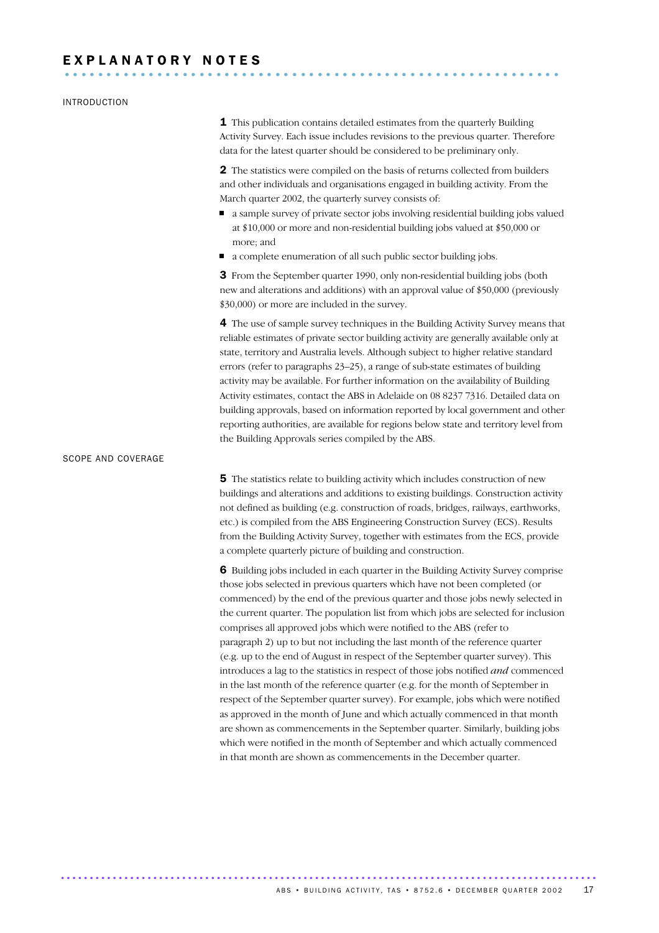#### INTRODUCTION

1 This publication contains detailed estimates from the quarterly Building Activity Survey. Each issue includes revisions to the previous quarter. Therefore data for the latest quarter should be considered to be preliminary only.

2 The statistics were compiled on the basis of returns collected from builders and other individuals and organisations engaged in building activity. From the March quarter 2002, the quarterly survey consists of:

- a sample survey of private sector jobs involving residential building jobs valued at \$10,000 or more and non-residential building jobs valued at \$50,000 or more; and
- a complete enumeration of all such public sector building jobs.

**3** From the September quarter 1990, only non-residential building jobs (both new and alterations and additions) with an approval value of \$50,000 (previously \$30,000) or more are included in the survey.

4 The use of sample survey techniques in the Building Activity Survey means that reliable estimates of private sector building activity are generally available only at state, territory and Australia levels. Although subject to higher relative standard errors (refer to paragraphs 23–25), a range of sub-state estimates of building activity may be available. For further information on the availability of Building Activity estimates, contact the ABS in Adelaide on 08 8237 7316. Detailed data on building approvals, based on information reported by local government and other reporting authorities, are available for regions below state and territory level from the Building Approvals series compiled by the ABS.

#### SCOPE AND COVERAGE

**5** The statistics relate to building activity which includes construction of new buildings and alterations and additions to existing buildings. Construction activity not defined as building (e.g. construction of roads, bridges, railways, earthworks, etc.) is compiled from the ABS Engineering Construction Survey (ECS). Results from the Building Activity Survey, together with estimates from the ECS, provide a complete quarterly picture of building and construction.

6 Building jobs included in each quarter in the Building Activity Survey comprise those jobs selected in previous quarters which have not been completed (or commenced) by the end of the previous quarter and those jobs newly selected in the current quarter. The population list from which jobs are selected for inclusion comprises all approved jobs which were notified to the ABS (refer to paragraph 2) up to but not including the last month of the reference quarter (e.g. up to the end of August in respect of the September quarter survey). This introduces a lag to the statistics in respect of those jobs notified *and* commenced in the last month of the reference quarter (e.g. for the month of September in respect of the September quarter survey). For example, jobs which were notified as approved in the month of June and which actually commenced in that month are shown as commencements in the September quarter. Similarly, building jobs which were notified in the month of September and which actually commenced in that month are shown as commencements in the December quarter.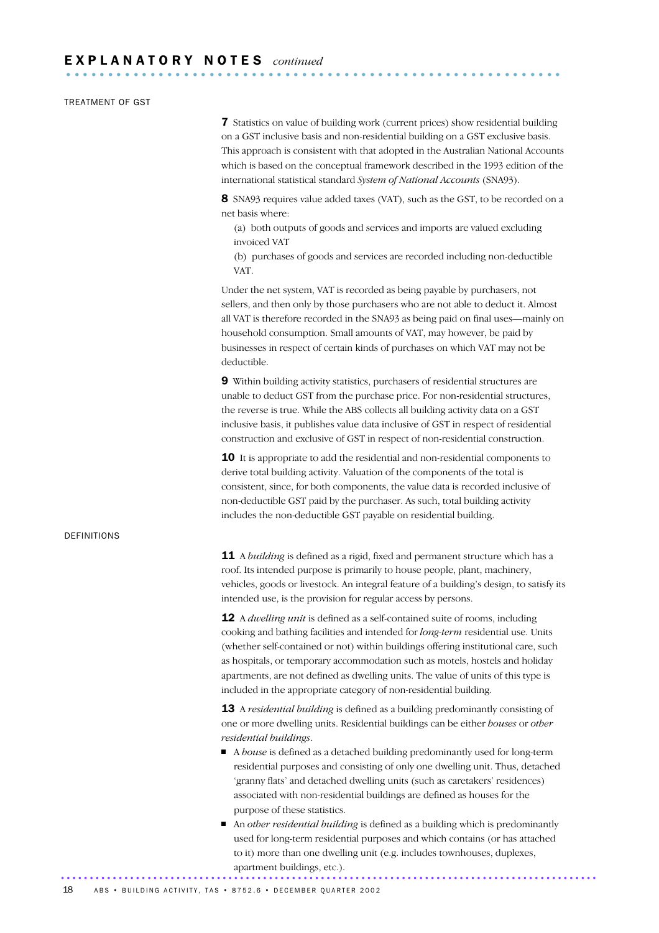#### TREATMENT OF GST

7 Statistics on value of building work (current prices) show residential building on a GST inclusive basis and non-residential building on a GST exclusive basis. This approach is consistent with that adopted in the Australian National Accounts which is based on the conceptual framework described in the 1993 edition of the international statistical standard *System of National Accounts* (SNA93).

8 SNA93 requires value added taxes (VAT), such as the GST, to be recorded on a net basis where:

(a) both outputs of goods and services and imports are valued excluding invoiced VAT

(b) purchases of goods and services are recorded including non-deductible VAT.

Under the net system, VAT is recorded as being payable by purchasers, not sellers, and then only by those purchasers who are not able to deduct it. Almost all VAT is therefore recorded in the SNA93 as being paid on final uses—mainly on household consumption. Small amounts of VAT, may however, be paid by businesses in respect of certain kinds of purchases on which VAT may not be deductible.

9 Within building activity statistics, purchasers of residential structures are unable to deduct GST from the purchase price. For non-residential structures, the reverse is true. While the ABS collects all building activity data on a GST inclusive basis, it publishes value data inclusive of GST in respect of residential construction and exclusive of GST in respect of non-residential construction.

**10** It is appropriate to add the residential and non-residential components to derive total building activity. Valuation of the components of the total is consistent, since, for both components, the value data is recorded inclusive of non-deductible GST paid by the purchaser. As such, total building activity includes the non-deductible GST payable on residential building.

#### DEFINITIONS

**11** A *building* is defined as a rigid, fixed and permanent structure which has a roof. Its intended purpose is primarily to house people, plant, machinery, vehicles, goods or livestock. An integral feature of a building's design, to satisfy its intended use, is the provision for regular access by persons.

12 A *dwelling unit* is defined as a self-contained suite of rooms, including cooking and bathing facilities and intended for *long-term* residential use. Units (whether self-contained or not) within buildings offering institutional care, such as hospitals, or temporary accommodation such as motels, hostels and holiday apartments, are not defined as dwelling units. The value of units of this type is included in the appropriate category of non-residential building.

13 A *residential building* is defined as a building predominantly consisting of one or more dwelling units. Residential buildings can be either *houses* or *other residential buildings*.

- A *house* is defined as a detached building predominantly used for long-term residential purposes and consisting of only one dwelling unit. Thus, detached 'granny flats' and detached dwelling units (such as caretakers' residences) associated with non-residential buildings are defined as houses for the purpose of these statistics.
- An *other residential building* is defined as a building which is predominantly used for long-term residential purposes and which contains (or has attached to it) more than one dwelling unit (e.g. includes townhouses, duplexes, apartment buildings, etc.). .............................................................................................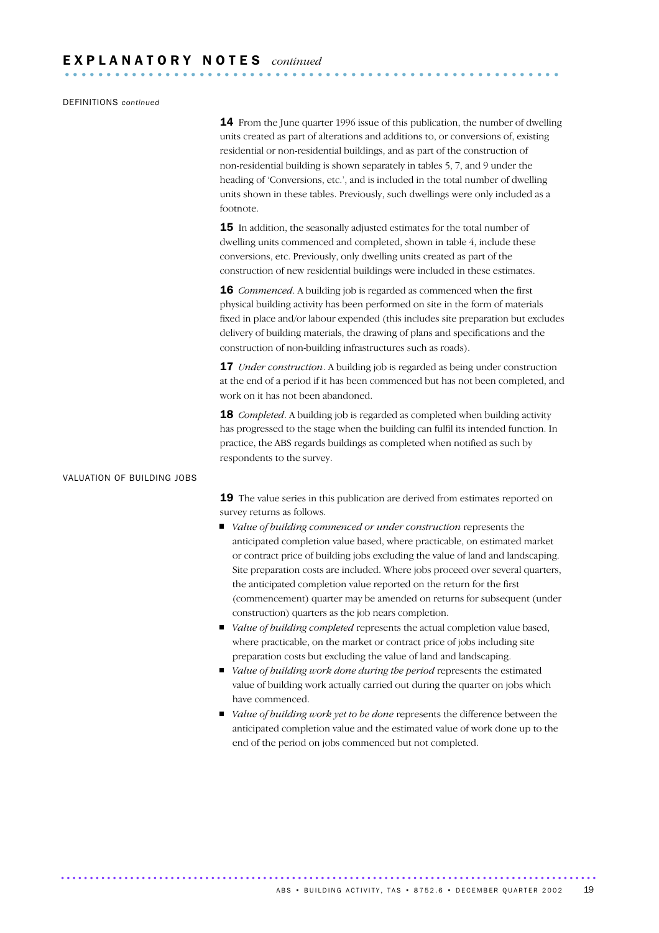#### DEFINITIONS *continued*

14 From the June quarter 1996 issue of this publication, the number of dwelling units created as part of alterations and additions to, or conversions of, existing residential or non-residential buildings, and as part of the construction of non-residential building is shown separately in tables 5, 7, and 9 under the heading of 'Conversions, etc.', and is included in the total number of dwelling units shown in these tables. Previously, such dwellings were only included as a footnote.

**15** In addition, the seasonally adjusted estimates for the total number of dwelling units commenced and completed, shown in table 4, include these conversions, etc. Previously, only dwelling units created as part of the construction of new residential buildings were included in these estimates.

**16** *Commenced*. A building job is regarded as commenced when the first physical building activity has been performed on site in the form of materials fixed in place and/or labour expended (this includes site preparation but excludes delivery of building materials, the drawing of plans and specifications and the construction of non-building infrastructures such as roads).

**17** *Under construction*. A building job is regarded as being under construction at the end of a period if it has been commenced but has not been completed, and work on it has not been abandoned.

18 *Completed*. A building job is regarded as completed when building activity has progressed to the stage when the building can fulfil its intended function. In practice, the ABS regards buildings as completed when notified as such by respondents to the survey.

#### VALUATION OF BUILDING JOBS

19 The value series in this publication are derived from estimates reported on survey returns as follows.

- *Value of building commenced or under construction* represents the anticipated completion value based, where practicable, on estimated market or contract price of building jobs excluding the value of land and landscaping. Site preparation costs are included. Where jobs proceed over several quarters, the anticipated completion value reported on the return for the first (commencement) quarter may be amended on returns for subsequent (under construction) quarters as the job nears completion.
- *Value of building completed* represents the actual completion value based, where practicable, on the market or contract price of jobs including site preparation costs but excluding the value of land and landscaping.
- *Value of building work done during the period* represents the estimated value of building work actually carried out during the quarter on jobs which have commenced.
- *Value of building work yet to be done* represents the difference between the anticipated completion value and the estimated value of work done up to the end of the period on jobs commenced but not completed.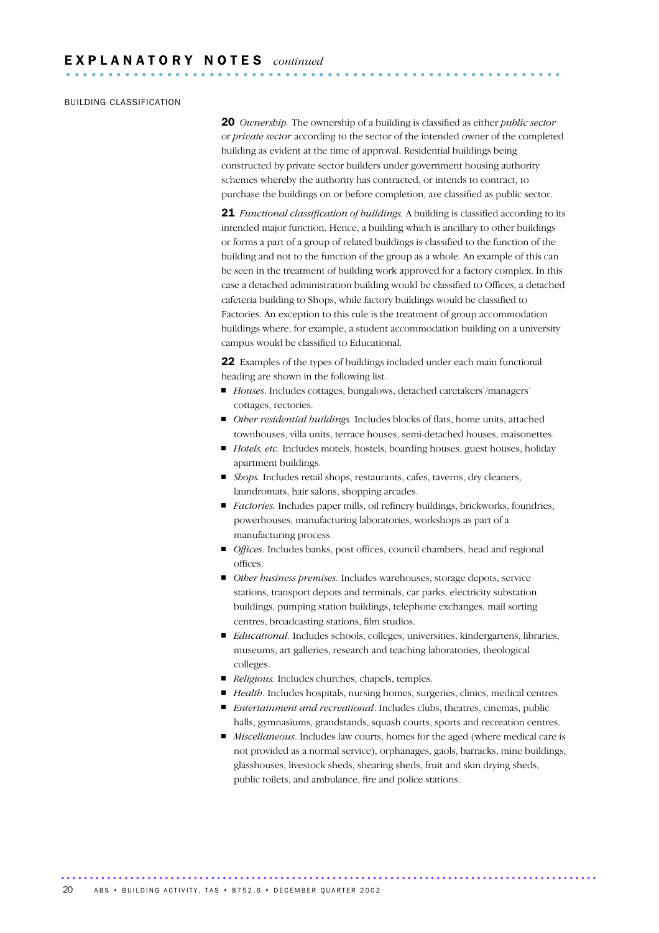#### BUILDING CLASSIFICATION

20 *Ownership.* The ownership of a building is classified as either *public sector* or *private sector* according to the sector of the intended owner of the completed building as evident at the time of approval. Residential buildings being constructed by private sector builders under government housing authority schemes whereby the authority has contracted, or intends to contract, to purchase the buildings on or before completion, are classified as public sector.

21 *Functional classification of buildings.* A building is classified according to its intended major function. Hence, a building which is ancillary to other buildings or forms a part of a group of related buildings is classified to the function of the building and not to the function of the group as a whole. An example of this can be seen in the treatment of building work approved for a factory complex. In this case a detached administration building would be classified to Offices, a detached cafeteria building to Shops, while factory buildings would be classified to Factories. An exception to this rule is the treatment of group accommodation buildings where, for example, a student accommodation building on a university campus would be classified to Educational.

22 Examples of the types of buildings included under each main functional heading are shown in the following list.

- *Houses*. Includes cottages, bungalows, detached caretakers'/managers' cottages, rectories.
- *Other residential buildings.* Includes blocks of flats, home units, attached townhouses, villa units, terrace houses, semi-detached houses, maisonettes.
- *Hotels, etc.* Includes motels, hostels, boarding houses, guest houses, holiday apartment buildings.
- *Shops.* Includes retail shops, restaurants, cafes, taverns, dry cleaners, laundromats, hair salons, shopping arcades.
- *Factories.* Includes paper mills, oil refinery buildings, brickworks, foundries, powerhouses, manufacturing laboratories, workshops as part of a manufacturing process.
- *Offices*. Includes banks, post offices, council chambers, head and regional offices.
- *Other business premises.* Includes warehouses, storage depots, service stations, transport depots and terminals, car parks, electricity substation buildings, pumping station buildings, telephone exchanges, mail sorting centres, broadcasting stations, film studios.
- *Educational.* Includes schools, colleges, universities, kindergartens, libraries, museums, art galleries, research and teaching laboratories, theological colleges.
- *Religious*. Includes churches, chapels, temples.

- *Health*. Includes hospitals, nursing homes, surgeries, clinics, medical centres.
- *Entertainment and recreational*. Includes clubs, theatres, cinemas, public halls, gymnasiums, grandstands, squash courts, sports and recreation centres.
- *Miscellaneous*. Includes law courts, homes for the aged (where medical care is not provided as a normal service), orphanages, gaols, barracks, mine buildings, glasshouses, livestock sheds, shearing sheds, fruit and skin drying sheds, public toilets, and ambulance, fire and police stations.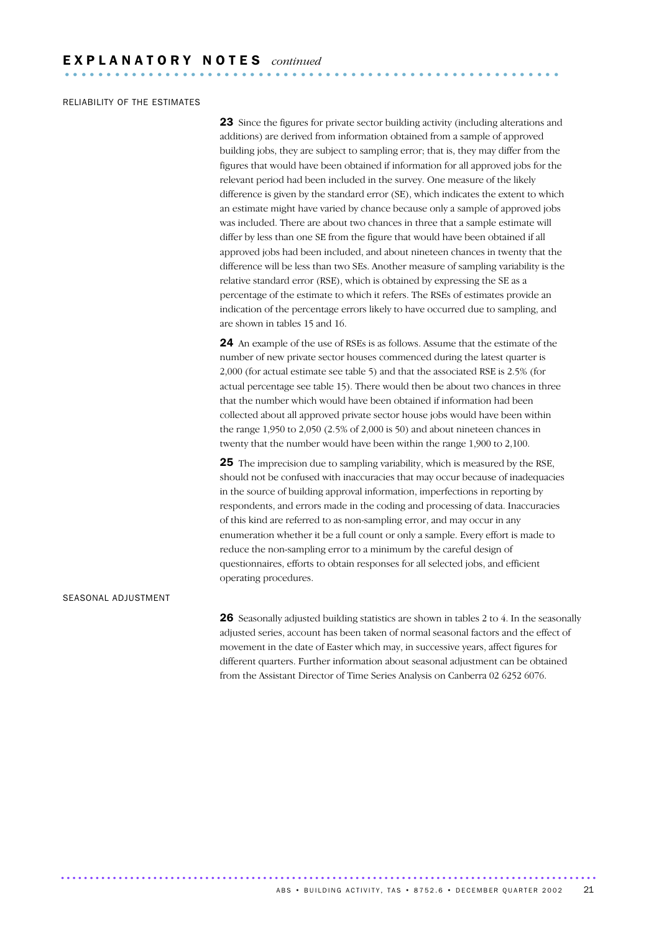#### RELIABILITY OF THE ESTIMATES

23 Since the figures for private sector building activity (including alterations and additions) are derived from information obtained from a sample of approved building jobs, they are subject to sampling error; that is, they may differ from the figures that would have been obtained if information for all approved jobs for the relevant period had been included in the survey. One measure of the likely difference is given by the standard error (SE), which indicates the extent to which an estimate might have varied by chance because only a sample of approved jobs was included. There are about two chances in three that a sample estimate will differ by less than one SE from the figure that would have been obtained if all approved jobs had been included, and about nineteen chances in twenty that the difference will be less than two SEs. Another measure of sampling variability is the relative standard error (RSE), which is obtained by expressing the SE as a percentage of the estimate to which it refers. The RSEs of estimates provide an indication of the percentage errors likely to have occurred due to sampling, and are shown in tables 15 and 16.

24 An example of the use of RSEs is as follows. Assume that the estimate of the number of new private sector houses commenced during the latest quarter is 2,000 (for actual estimate see table 5) and that the associated RSE is 2.5% (for actual percentage see table 15). There would then be about two chances in three that the number which would have been obtained if information had been collected about all approved private sector house jobs would have been within the range 1,950 to 2,050 (2.5% of 2,000 is 50) and about nineteen chances in twenty that the number would have been within the range 1,900 to 2,100.

**25** The imprecision due to sampling variability, which is measured by the RSE, should not be confused with inaccuracies that may occur because of inadequacies in the source of building approval information, imperfections in reporting by respondents, and errors made in the coding and processing of data. Inaccuracies of this kind are referred to as non-sampling error, and may occur in any enumeration whether it be a full count or only a sample. Every effort is made to reduce the non-sampling error to a minimum by the careful design of questionnaires, efforts to obtain responses for all selected jobs, and efficient operating procedures.

#### SEASONAL ADJUSTMENT

**26** Seasonally adjusted building statistics are shown in tables 2 to 4. In the seasonally adjusted series, account has been taken of normal seasonal factors and the effect of movement in the date of Easter which may, in successive years, affect figures for different quarters. Further information about seasonal adjustment can be obtained from the Assistant Director of Time Series Analysis on Canberra 02 6252 6076.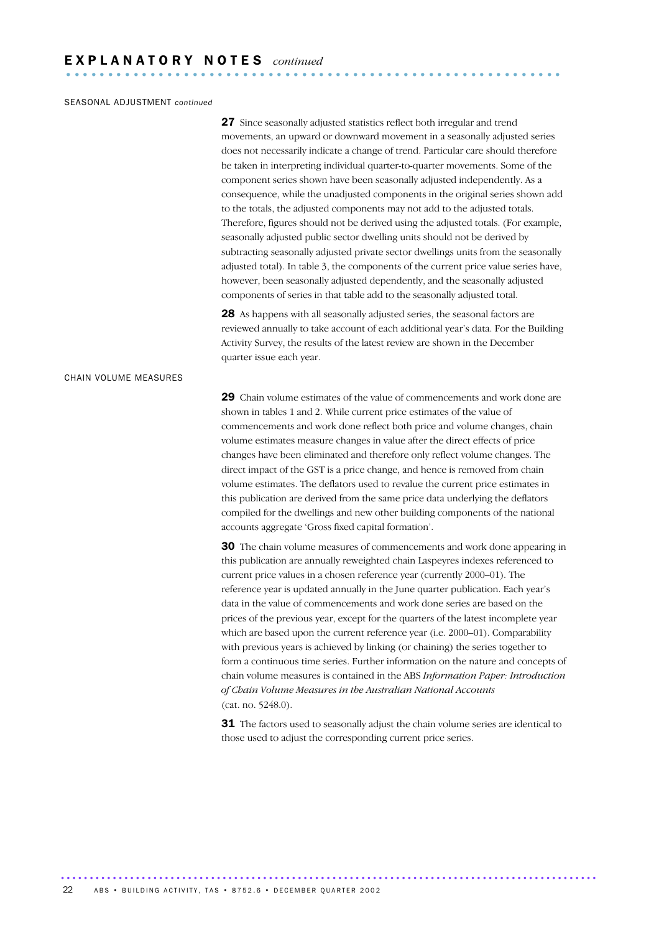#### SEASONAL ADJUSTMENT *continued*

27 Since seasonally adjusted statistics reflect both irregular and trend movements, an upward or downward movement in a seasonally adjusted series does not necessarily indicate a change of trend. Particular care should therefore be taken in interpreting individual quarter-to-quarter movements. Some of the component series shown have been seasonally adjusted independently. As a consequence, while the unadjusted components in the original series shown add to the totals, the adjusted components may not add to the adjusted totals. Therefore, figures should not be derived using the adjusted totals. (For example, seasonally adjusted public sector dwelling units should not be derived by subtracting seasonally adjusted private sector dwellings units from the seasonally adjusted total). In table 3, the components of the current price value series have, however, been seasonally adjusted dependently, and the seasonally adjusted components of series in that table add to the seasonally adjusted total.

28 As happens with all seasonally adjusted series, the seasonal factors are reviewed annually to take account of each additional year's data. For the Building Activity Survey, the results of the latest review are shown in the December quarter issue each year.

#### CHAIN VOLUME MEASURES

29 Chain volume estimates of the value of commencements and work done are shown in tables 1 and 2. While current price estimates of the value of commencements and work done reflect both price and volume changes, chain volume estimates measure changes in value after the direct effects of price changes have been eliminated and therefore only reflect volume changes. The direct impact of the GST is a price change, and hence is removed from chain volume estimates. The deflators used to revalue the current price estimates in this publication are derived from the same price data underlying the deflators compiled for the dwellings and new other building components of the national accounts aggregate 'Gross fixed capital formation'.

30 The chain volume measures of commencements and work done appearing in this publication are annually reweighted chain Laspeyres indexes referenced to current price values in a chosen reference year (currently 2000–01). The reference year is updated annually in the June quarter publication. Each year's data in the value of commencements and work done series are based on the prices of the previous year, except for the quarters of the latest incomplete year which are based upon the current reference year (i.e. 2000–01). Comparability with previous years is achieved by linking (or chaining) the series together to form a continuous time series. Further information on the nature and concepts of chain volume measures is contained in the ABS *Information Paper: Introduction of Chain Volume Measures in the Australian National Accounts* (cat. no. 5248.0).

**31** The factors used to seasonally adjust the chain volume series are identical to those used to adjust the corresponding current price series.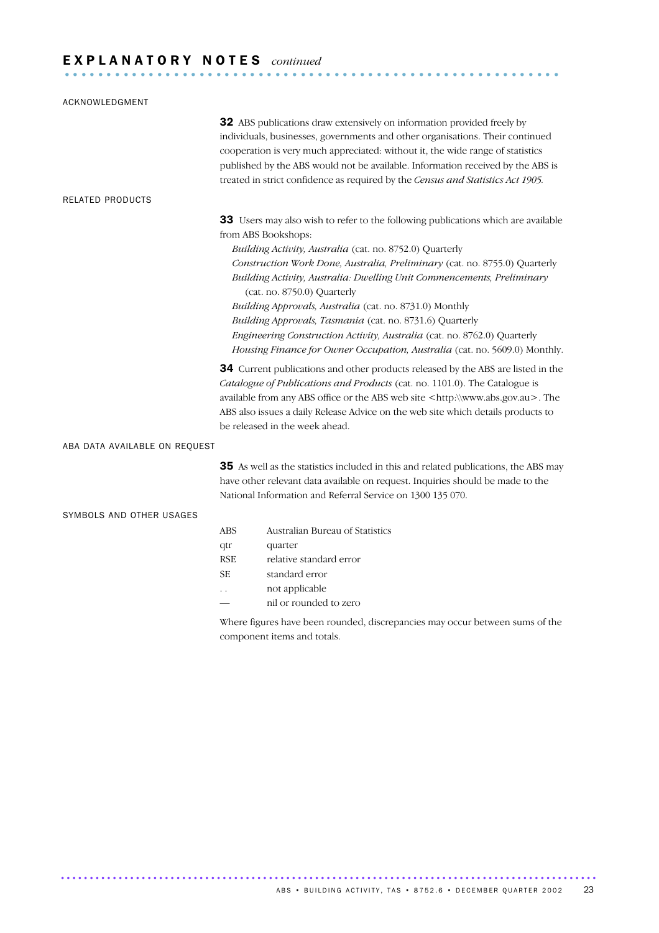# E X P L A N A T O R Y N O T E S *continued* ...........................................................

| ACKNOWLEDGMENT                |                                              |                                                                                                                                                                                                                                                                                                                                                                                                                                                                                                                                                                                                                       |
|-------------------------------|----------------------------------------------|-----------------------------------------------------------------------------------------------------------------------------------------------------------------------------------------------------------------------------------------------------------------------------------------------------------------------------------------------------------------------------------------------------------------------------------------------------------------------------------------------------------------------------------------------------------------------------------------------------------------------|
|                               |                                              | 32 ABS publications draw extensively on information provided freely by<br>individuals, businesses, governments and other organisations. Their continued<br>cooperation is very much appreciated: without it, the wide range of statistics<br>published by the ABS would not be available. Information received by the ABS is<br>treated in strict confidence as required by the Census and Statistics Act 1905.                                                                                                                                                                                                       |
| RELATED PRODUCTS              |                                              |                                                                                                                                                                                                                                                                                                                                                                                                                                                                                                                                                                                                                       |
|                               | from ABS Bookshops:                          | 33 Users may also wish to refer to the following publications which are available<br>Building Activity, Australia (cat. no. 8752.0) Quarterly<br>Construction Work Done, Australia, Preliminary (cat. no. 8755.0) Quarterly<br>Building Activity, Australia: Dwelling Unit Commencements, Preliminary<br>(cat. no. 8750.0) Quarterly<br>Building Approvals, Australia (cat. no. 8731.0) Monthly<br>Building Approvals, Tasmania (cat. no. 8731.6) Quarterly<br>Engineering Construction Activity, Australia (cat. no. 8762.0) Quarterly<br>Housing Finance for Owner Occupation, Australia (cat. no. 5609.0) Monthly. |
|                               |                                              | 34 Current publications and other products released by the ABS are listed in the<br>Catalogue of Publications and Products (cat. no. 1101.0). The Catalogue is<br>available from any ABS office or the ABS web site <http:\\www.abs.gov.au>. The<br/>ABS also issues a daily Release Advice on the web site which details products to<br/>be released in the week ahead.</http:\\www.abs.gov.au>                                                                                                                                                                                                                      |
| ABA DATA AVAILABLE ON REQUEST |                                              |                                                                                                                                                                                                                                                                                                                                                                                                                                                                                                                                                                                                                       |
|                               |                                              | 35 As well as the statistics included in this and related publications, the ABS may<br>have other relevant data available on request. Inquiries should be made to the<br>National Information and Referral Service on 1300 135 070.                                                                                                                                                                                                                                                                                                                                                                                   |
| SYMBOLS AND OTHER USAGES      |                                              |                                                                                                                                                                                                                                                                                                                                                                                                                                                                                                                                                                                                                       |
|                               | <b>ABS</b><br>qtr<br><b>RSE</b><br>SЕ<br>. . | Australian Bureau of Statistics<br>quarter<br>relative standard error<br>standard error<br>not applicable<br>nil or rounded to zero<br>Where figures have been rounded, discrepancies may occur between sums of the                                                                                                                                                                                                                                                                                                                                                                                                   |
|                               |                                              | component items and totals.                                                                                                                                                                                                                                                                                                                                                                                                                                                                                                                                                                                           |

ABS • BUILDING ACTIVITY, TAS • 8752.6 • DECEMBER QUARTER 2002 23